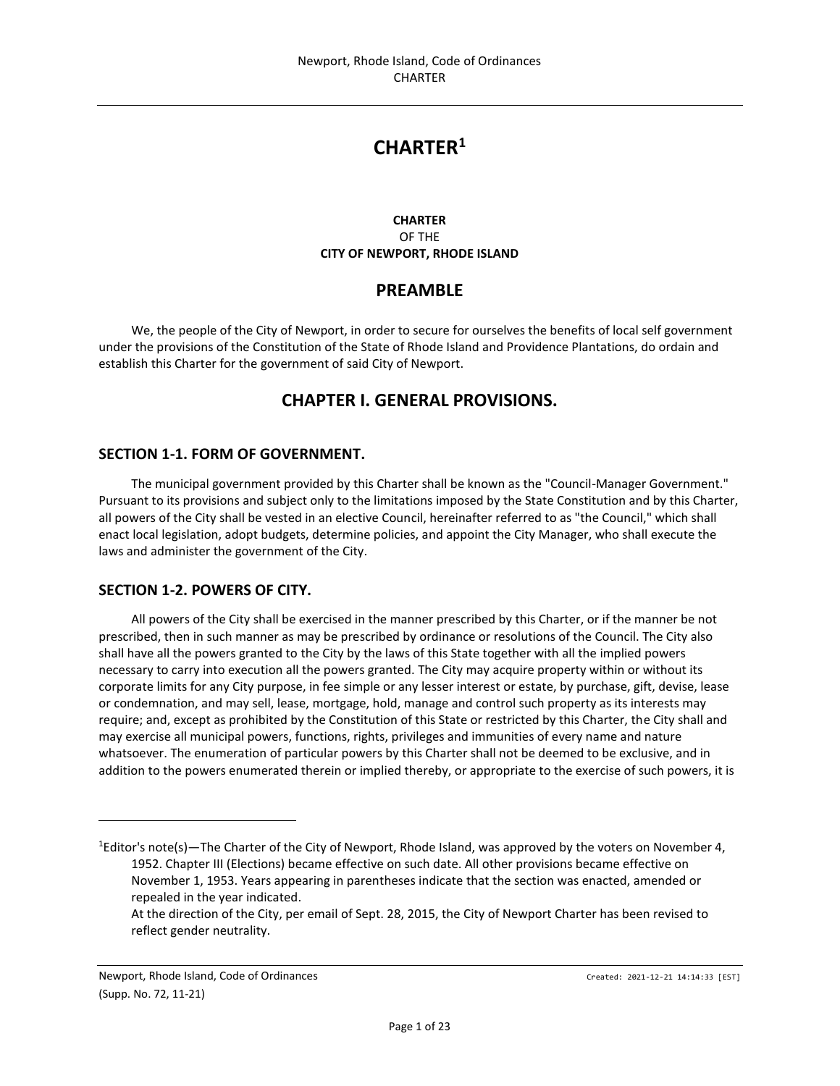# **CHARTER<sup>1</sup>**

### **CHARTER** OF THE **CITY OF NEWPORT, RHODE ISLAND**

# **PREAMBLE**

We, the people of the City of Newport, in order to secure for ourselves the benefits of local self government under the provisions of the Constitution of the State of Rhode Island and Providence Plantations, do ordain and establish this Charter for the government of said City of Newport.

# **CHAPTER I. GENERAL PROVISIONS.**

### **SECTION 1-1. FORM OF GOVERNMENT.**

The municipal government provided by this Charter shall be known as the "Council-Manager Government." Pursuant to its provisions and subject only to the limitations imposed by the State Constitution and by this Charter, all powers of the City shall be vested in an elective Council, hereinafter referred to as "the Council," which shall enact local legislation, adopt budgets, determine policies, and appoint the City Manager, who shall execute the laws and administer the government of the City.

# **SECTION 1-2. POWERS OF CITY.**

All powers of the City shall be exercised in the manner prescribed by this Charter, or if the manner be not prescribed, then in such manner as may be prescribed by ordinance or resolutions of the Council. The City also shall have all the powers granted to the City by the laws of this State together with all the implied powers necessary to carry into execution all the powers granted. The City may acquire property within or without its corporate limits for any City purpose, in fee simple or any lesser interest or estate, by purchase, gift, devise, lease or condemnation, and may sell, lease, mortgage, hold, manage and control such property as its interests may require; and, except as prohibited by the Constitution of this State or restricted by this Charter, the City shall and may exercise all municipal powers, functions, rights, privileges and immunities of every name and nature whatsoever. The enumeration of particular powers by this Charter shall not be deemed to be exclusive, and in addition to the powers enumerated therein or implied thereby, or appropriate to the exercise of such powers, it is

Newport, Rhode Island, Code of Ordinances Created: 2021-12-21 14:14:33 [EST] (Supp. No. 72, 11-21)

 $\overline{a}$ 

 $1$ Editor's note(s)—The Charter of the City of Newport, Rhode Island, was approved by the voters on November 4, 1952. Chapter III (Elections) became effective on such date. All other provisions became effective on November 1, 1953. Years appearing in parentheses indicate that the section was enacted, amended or repealed in the year indicated.

At the direction of the City, per email of Sept. 28, 2015, the City of Newport Charter has been revised to reflect gender neutrality.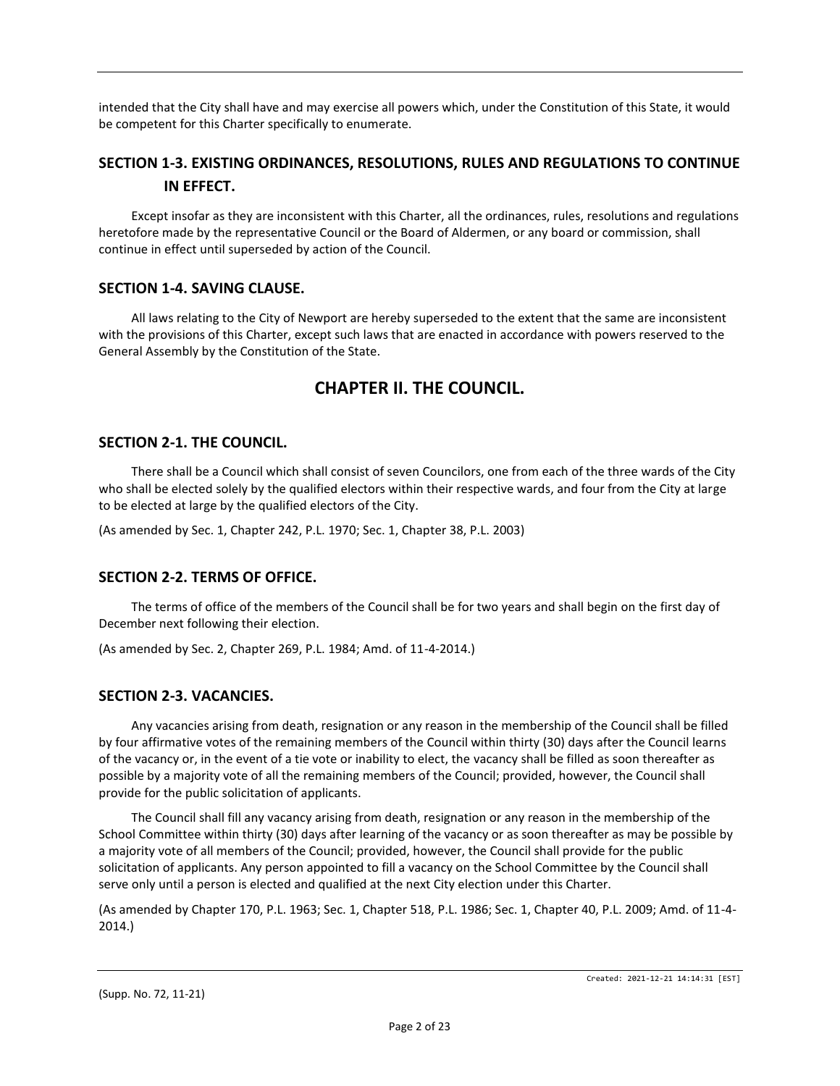intended that the City shall have and may exercise all powers which, under the Constitution of this State, it would be competent for this Charter specifically to enumerate.

# **SECTION 1-3. EXISTING ORDINANCES, RESOLUTIONS, RULES AND REGULATIONS TO CONTINUE IN EFFECT.**

Except insofar as they are inconsistent with this Charter, all the ordinances, rules, resolutions and regulations heretofore made by the representative Council or the Board of Aldermen, or any board or commission, shall continue in effect until superseded by action of the Council.

### **SECTION 1-4. SAVING CLAUSE.**

All laws relating to the City of Newport are hereby superseded to the extent that the same are inconsistent with the provisions of this Charter, except such laws that are enacted in accordance with powers reserved to the General Assembly by the Constitution of the State.

# **CHAPTER II. THE COUNCIL.**

# **SECTION 2-1. THE COUNCIL.**

There shall be a Council which shall consist of seven Councilors, one from each of the three wards of the City who shall be elected solely by the qualified electors within their respective wards, and four from the City at large to be elected at large by the qualified electors of the City.

(As amended by Sec. 1, Chapter 242, P.L. 1970; Sec. 1, Chapter 38, P.L. 2003)

# **SECTION 2-2. TERMS OF OFFICE.**

The terms of office of the members of the Council shall be for two years and shall begin on the first day of December next following their election.

(As amended by Sec. 2, Chapter 269, P.L. 1984; Amd. of 11-4-2014.)

### **SECTION 2-3. VACANCIES.**

Any vacancies arising from death, resignation or any reason in the membership of the Council shall be filled by four affirmative votes of the remaining members of the Council within thirty (30) days after the Council learns of the vacancy or, in the event of a tie vote or inability to elect, the vacancy shall be filled as soon thereafter as possible by a majority vote of all the remaining members of the Council; provided, however, the Council shall provide for the public solicitation of applicants.

The Council shall fill any vacancy arising from death, resignation or any reason in the membership of the School Committee within thirty (30) days after learning of the vacancy or as soon thereafter as may be possible by a majority vote of all members of the Council; provided, however, the Council shall provide for the public solicitation of applicants. Any person appointed to fill a vacancy on the School Committee by the Council shall serve only until a person is elected and qualified at the next City election under this Charter.

(As amended by Chapter 170, P.L. 1963; Sec. 1, Chapter 518, P.L. 1986; Sec. 1, Chapter 40, P.L. 2009; Amd. of 11-4- 2014.)

(Supp. No. 72, 11-21)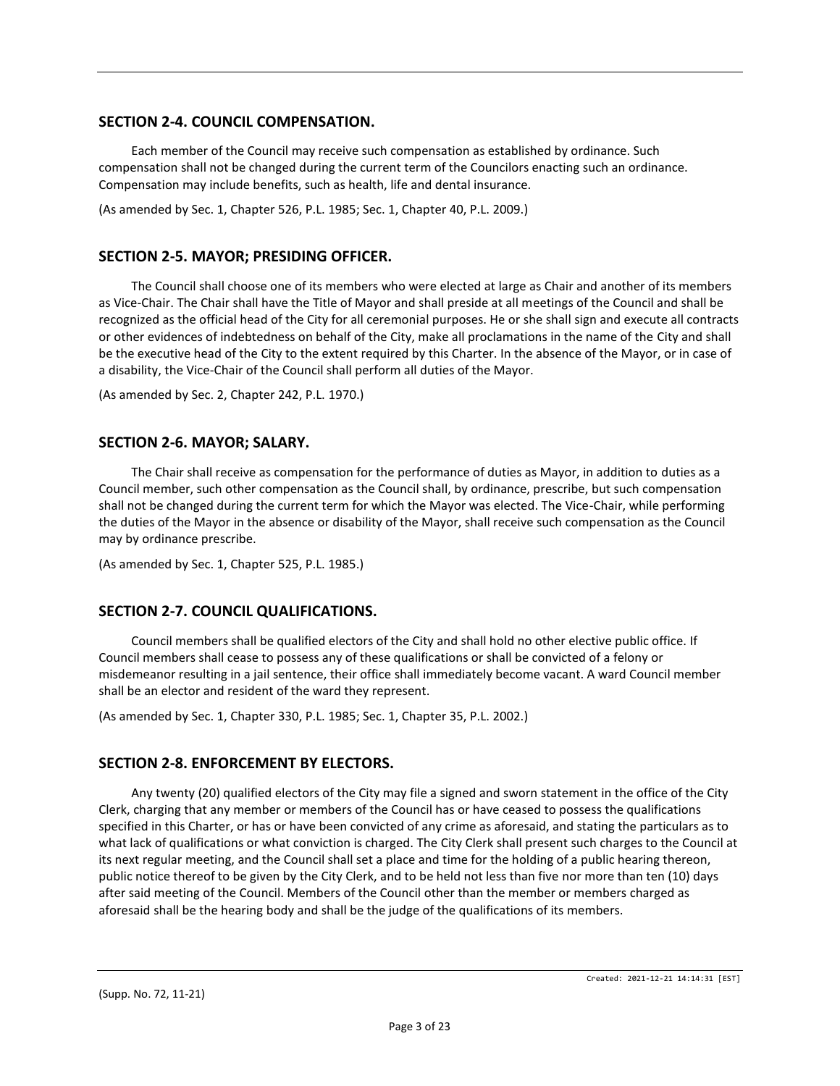# **SECTION 2-4. COUNCIL COMPENSATION.**

Each member of the Council may receive such compensation as established by ordinance. Such compensation shall not be changed during the current term of the Councilors enacting such an ordinance. Compensation may include benefits, such as health, life and dental insurance.

(As amended by Sec. 1, Chapter 526, P.L. 1985; Sec. 1, Chapter 40, P.L. 2009.)

# **SECTION 2-5. MAYOR; PRESIDING OFFICER.**

The Council shall choose one of its members who were elected at large as Chair and another of its members as Vice-Chair. The Chair shall have the Title of Mayor and shall preside at all meetings of the Council and shall be recognized as the official head of the City for all ceremonial purposes. He or she shall sign and execute all contracts or other evidences of indebtedness on behalf of the City, make all proclamations in the name of the City and shall be the executive head of the City to the extent required by this Charter. In the absence of the Mayor, or in case of a disability, the Vice-Chair of the Council shall perform all duties of the Mayor.

(As amended by Sec. 2, Chapter 242, P.L. 1970.)

# **SECTION 2-6. MAYOR; SALARY.**

The Chair shall receive as compensation for the performance of duties as Mayor, in addition to duties as a Council member, such other compensation as the Council shall, by ordinance, prescribe, but such compensation shall not be changed during the current term for which the Mayor was elected. The Vice-Chair, while performing the duties of the Mayor in the absence or disability of the Mayor, shall receive such compensation as the Council may by ordinance prescribe.

(As amended by Sec. 1, Chapter 525, P.L. 1985.)

# **SECTION 2-7. COUNCIL QUALIFICATIONS.**

Council members shall be qualified electors of the City and shall hold no other elective public office. If Council members shall cease to possess any of these qualifications or shall be convicted of a felony or misdemeanor resulting in a jail sentence, their office shall immediately become vacant. A ward Council member shall be an elector and resident of the ward they represent.

(As amended by Sec. 1, Chapter 330, P.L. 1985; Sec. 1, Chapter 35, P.L. 2002.)

# **SECTION 2-8. ENFORCEMENT BY ELECTORS.**

Any twenty (20) qualified electors of the City may file a signed and sworn statement in the office of the City Clerk, charging that any member or members of the Council has or have ceased to possess the qualifications specified in this Charter, or has or have been convicted of any crime as aforesaid, and stating the particulars as to what lack of qualifications or what conviction is charged. The City Clerk shall present such charges to the Council at its next regular meeting, and the Council shall set a place and time for the holding of a public hearing thereon, public notice thereof to be given by the City Clerk, and to be held not less than five nor more than ten (10) days after said meeting of the Council. Members of the Council other than the member or members charged as aforesaid shall be the hearing body and shall be the judge of the qualifications of its members.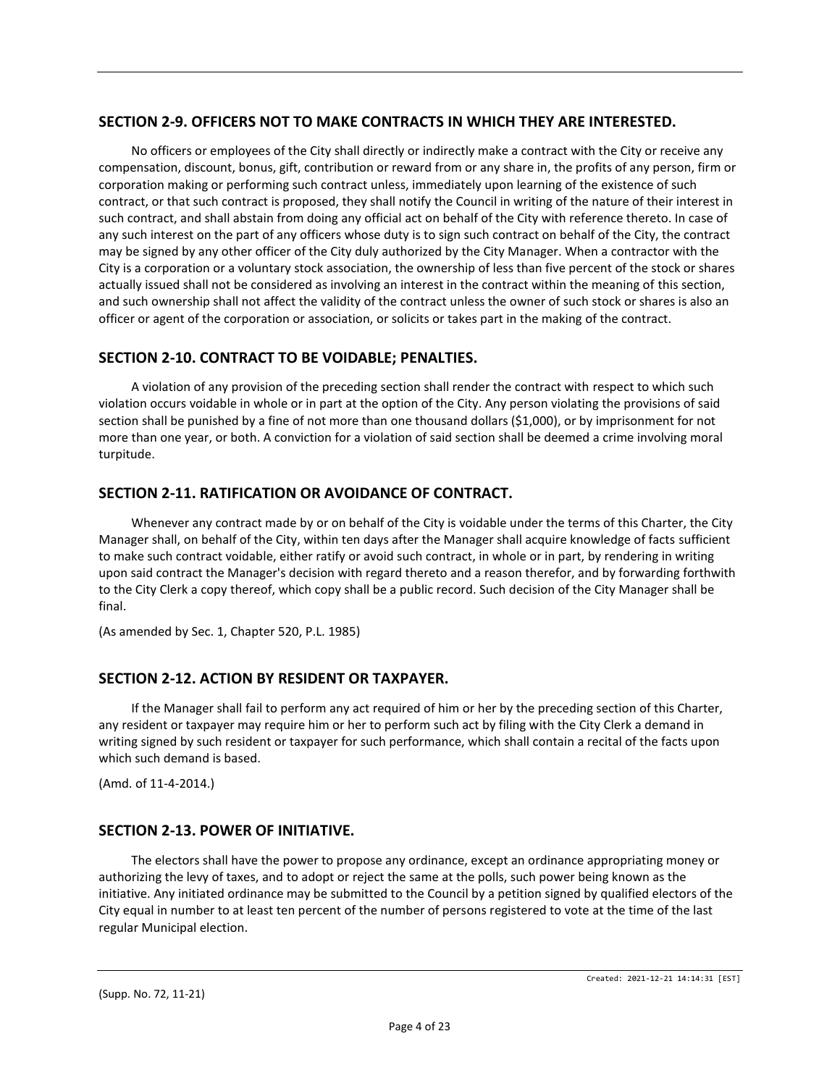# **SECTION 2-9. OFFICERS NOT TO MAKE CONTRACTS IN WHICH THEY ARE INTERESTED.**

No officers or employees of the City shall directly or indirectly make a contract with the City or receive any compensation, discount, bonus, gift, contribution or reward from or any share in, the profits of any person, firm or corporation making or performing such contract unless, immediately upon learning of the existence of such contract, or that such contract is proposed, they shall notify the Council in writing of the nature of their interest in such contract, and shall abstain from doing any official act on behalf of the City with reference thereto. In case of any such interest on the part of any officers whose duty is to sign such contract on behalf of the City, the contract may be signed by any other officer of the City duly authorized by the City Manager. When a contractor with the City is a corporation or a voluntary stock association, the ownership of less than five percent of the stock or shares actually issued shall not be considered as involving an interest in the contract within the meaning of this section, and such ownership shall not affect the validity of the contract unless the owner of such stock or shares is also an officer or agent of the corporation or association, or solicits or takes part in the making of the contract.

# **SECTION 2-10. CONTRACT TO BE VOIDABLE; PENALTIES.**

A violation of any provision of the preceding section shall render the contract with respect to which such violation occurs voidable in whole or in part at the option of the City. Any person violating the provisions of said section shall be punished by a fine of not more than one thousand dollars (\$1,000), or by imprisonment for not more than one year, or both. A conviction for a violation of said section shall be deemed a crime involving moral turpitude.

# **SECTION 2-11. RATIFICATION OR AVOIDANCE OF CONTRACT.**

Whenever any contract made by or on behalf of the City is voidable under the terms of this Charter, the City Manager shall, on behalf of the City, within ten days after the Manager shall acquire knowledge of facts sufficient to make such contract voidable, either ratify or avoid such contract, in whole or in part, by rendering in writing upon said contract the Manager's decision with regard thereto and a reason therefor, and by forwarding forthwith to the City Clerk a copy thereof, which copy shall be a public record. Such decision of the City Manager shall be final.

(As amended by Sec. 1, Chapter 520, P.L. 1985)

# **SECTION 2-12. ACTION BY RESIDENT OR TAXPAYER.**

If the Manager shall fail to perform any act required of him or her by the preceding section of this Charter, any resident or taxpayer may require him or her to perform such act by filing with the City Clerk a demand in writing signed by such resident or taxpayer for such performance, which shall contain a recital of the facts upon which such demand is based.

(Amd. of 11-4-2014.)

# **SECTION 2-13. POWER OF INITIATIVE.**

The electors shall have the power to propose any ordinance, except an ordinance appropriating money or authorizing the levy of taxes, and to adopt or reject the same at the polls, such power being known as the initiative. Any initiated ordinance may be submitted to the Council by a petition signed by qualified electors of the City equal in number to at least ten percent of the number of persons registered to vote at the time of the last regular Municipal election.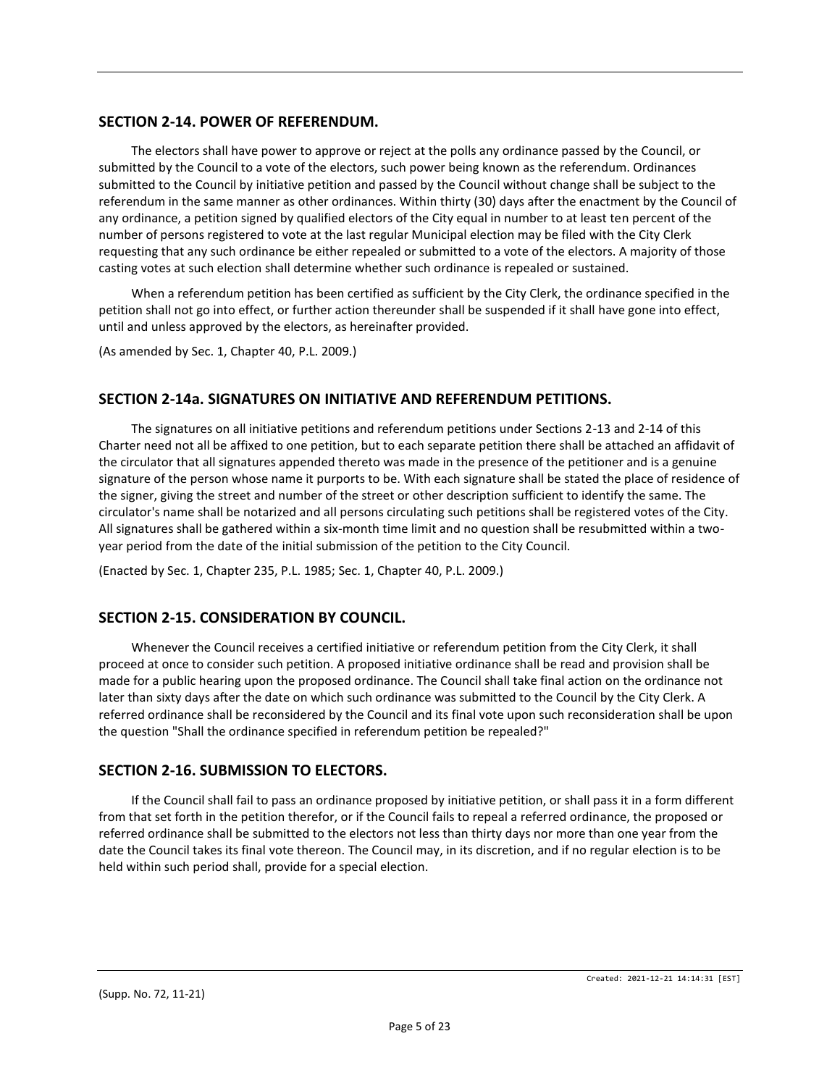### **SECTION 2-14. POWER OF REFERENDUM.**

The electors shall have power to approve or reject at the polls any ordinance passed by the Council, or submitted by the Council to a vote of the electors, such power being known as the referendum. Ordinances submitted to the Council by initiative petition and passed by the Council without change shall be subject to the referendum in the same manner as other ordinances. Within thirty (30) days after the enactment by the Council of any ordinance, a petition signed by qualified electors of the City equal in number to at least ten percent of the number of persons registered to vote at the last regular Municipal election may be filed with the City Clerk requesting that any such ordinance be either repealed or submitted to a vote of the electors. A majority of those casting votes at such election shall determine whether such ordinance is repealed or sustained.

When a referendum petition has been certified as sufficient by the City Clerk, the ordinance specified in the petition shall not go into effect, or further action thereunder shall be suspended if it shall have gone into effect, until and unless approved by the electors, as hereinafter provided.

(As amended by Sec. 1, Chapter 40, P.L. 2009.)

# **SECTION 2-14a. SIGNATURES ON INITIATIVE AND REFERENDUM PETITIONS.**

The signatures on all initiative petitions and referendum petitions under Sections 2-13 and 2-14 of this Charter need not all be affixed to one petition, but to each separate petition there shall be attached an affidavit of the circulator that all signatures appended thereto was made in the presence of the petitioner and is a genuine signature of the person whose name it purports to be. With each signature shall be stated the place of residence of the signer, giving the street and number of the street or other description sufficient to identify the same. The circulator's name shall be notarized and all persons circulating such petitions shall be registered votes of the City. All signatures shall be gathered within a six-month time limit and no question shall be resubmitted within a twoyear period from the date of the initial submission of the petition to the City Council.

(Enacted by Sec. 1, Chapter 235, P.L. 1985; Sec. 1, Chapter 40, P.L. 2009.)

# **SECTION 2-15. CONSIDERATION BY COUNCIL.**

Whenever the Council receives a certified initiative or referendum petition from the City Clerk, it shall proceed at once to consider such petition. A proposed initiative ordinance shall be read and provision shall be made for a public hearing upon the proposed ordinance. The Council shall take final action on the ordinance not later than sixty days after the date on which such ordinance was submitted to the Council by the City Clerk. A referred ordinance shall be reconsidered by the Council and its final vote upon such reconsideration shall be upon the question "Shall the ordinance specified in referendum petition be repealed?"

# **SECTION 2-16. SUBMISSION TO ELECTORS.**

If the Council shall fail to pass an ordinance proposed by initiative petition, or shall pass it in a form different from that set forth in the petition therefor, or if the Council fails to repeal a referred ordinance, the proposed or referred ordinance shall be submitted to the electors not less than thirty days nor more than one year from the date the Council takes its final vote thereon. The Council may, in its discretion, and if no regular election is to be held within such period shall, provide for a special election.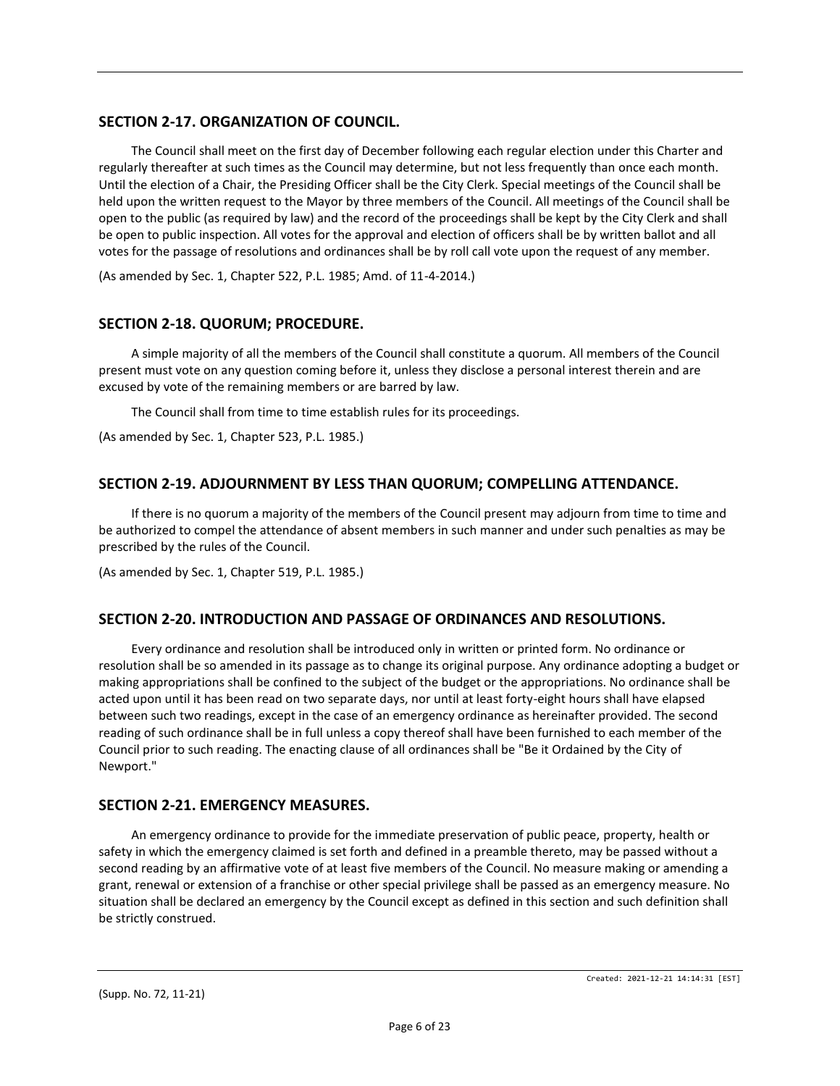# **SECTION 2-17. ORGANIZATION OF COUNCIL.**

The Council shall meet on the first day of December following each regular election under this Charter and regularly thereafter at such times as the Council may determine, but not less frequently than once each month. Until the election of a Chair, the Presiding Officer shall be the City Clerk. Special meetings of the Council shall be held upon the written request to the Mayor by three members of the Council. All meetings of the Council shall be open to the public (as required by law) and the record of the proceedings shall be kept by the City Clerk and shall be open to public inspection. All votes for the approval and election of officers shall be by written ballot and all votes for the passage of resolutions and ordinances shall be by roll call vote upon the request of any member.

(As amended by Sec. 1, Chapter 522, P.L. 1985; Amd. of 11-4-2014.)

# **SECTION 2-18. QUORUM; PROCEDURE.**

A simple majority of all the members of the Council shall constitute a quorum. All members of the Council present must vote on any question coming before it, unless they disclose a personal interest therein and are excused by vote of the remaining members or are barred by law.

The Council shall from time to time establish rules for its proceedings.

(As amended by Sec. 1, Chapter 523, P.L. 1985.)

### **SECTION 2-19. ADJOURNMENT BY LESS THAN QUORUM; COMPELLING ATTENDANCE.**

If there is no quorum a majority of the members of the Council present may adjourn from time to time and be authorized to compel the attendance of absent members in such manner and under such penalties as may be prescribed by the rules of the Council.

(As amended by Sec. 1, Chapter 519, P.L. 1985.)

# **SECTION 2-20. INTRODUCTION AND PASSAGE OF ORDINANCES AND RESOLUTIONS.**

Every ordinance and resolution shall be introduced only in written or printed form. No ordinance or resolution shall be so amended in its passage as to change its original purpose. Any ordinance adopting a budget or making appropriations shall be confined to the subject of the budget or the appropriations. No ordinance shall be acted upon until it has been read on two separate days, nor until at least forty-eight hours shall have elapsed between such two readings, except in the case of an emergency ordinance as hereinafter provided. The second reading of such ordinance shall be in full unless a copy thereof shall have been furnished to each member of the Council prior to such reading. The enacting clause of all ordinances shall be "Be it Ordained by the City of Newport."

### **SECTION 2-21. EMERGENCY MEASURES.**

An emergency ordinance to provide for the immediate preservation of public peace, property, health or safety in which the emergency claimed is set forth and defined in a preamble thereto, may be passed without a second reading by an affirmative vote of at least five members of the Council. No measure making or amending a grant, renewal or extension of a franchise or other special privilege shall be passed as an emergency measure. No situation shall be declared an emergency by the Council except as defined in this section and such definition shall be strictly construed.

Created: 2021-12-21 14:14:31 [EST]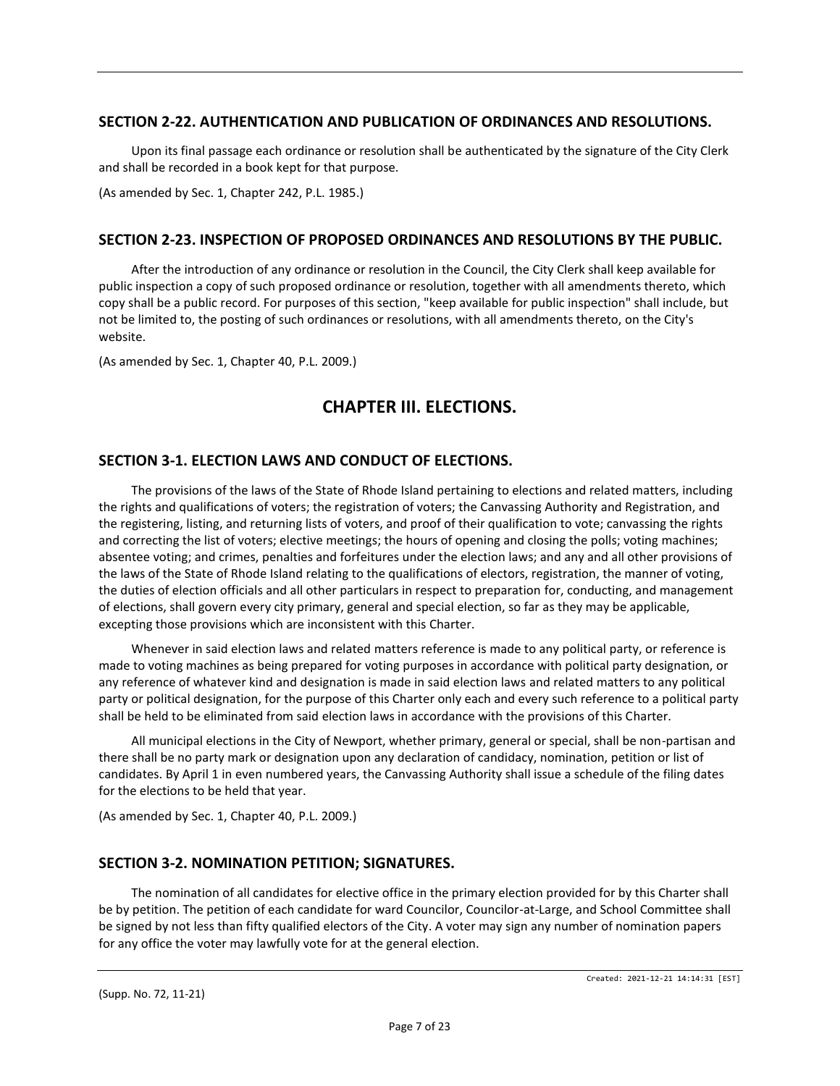# **SECTION 2-22. AUTHENTICATION AND PUBLICATION OF ORDINANCES AND RESOLUTIONS.**

Upon its final passage each ordinance or resolution shall be authenticated by the signature of the City Clerk and shall be recorded in a book kept for that purpose.

(As amended by Sec. 1, Chapter 242, P.L. 1985.)

# **SECTION 2-23. INSPECTION OF PROPOSED ORDINANCES AND RESOLUTIONS BY THE PUBLIC.**

After the introduction of any ordinance or resolution in the Council, the City Clerk shall keep available for public inspection a copy of such proposed ordinance or resolution, together with all amendments thereto, which copy shall be a public record. For purposes of this section, "keep available for public inspection" shall include, but not be limited to, the posting of such ordinances or resolutions, with all amendments thereto, on the City's website.

(As amended by Sec. 1, Chapter 40, P.L. 2009.)

# **CHAPTER III. ELECTIONS.**

# **SECTION 3-1. ELECTION LAWS AND CONDUCT OF ELECTIONS.**

The provisions of the laws of the State of Rhode Island pertaining to elections and related matters, including the rights and qualifications of voters; the registration of voters; the Canvassing Authority and Registration, and the registering, listing, and returning lists of voters, and proof of their qualification to vote; canvassing the rights and correcting the list of voters; elective meetings; the hours of opening and closing the polls; voting machines; absentee voting; and crimes, penalties and forfeitures under the election laws; and any and all other provisions of the laws of the State of Rhode Island relating to the qualifications of electors, registration, the manner of voting, the duties of election officials and all other particulars in respect to preparation for, conducting, and management of elections, shall govern every city primary, general and special election, so far as they may be applicable, excepting those provisions which are inconsistent with this Charter.

Whenever in said election laws and related matters reference is made to any political party, or reference is made to voting machines as being prepared for voting purposes in accordance with political party designation, or any reference of whatever kind and designation is made in said election laws and related matters to any political party or political designation, for the purpose of this Charter only each and every such reference to a political party shall be held to be eliminated from said election laws in accordance with the provisions of this Charter.

All municipal elections in the City of Newport, whether primary, general or special, shall be non-partisan and there shall be no party mark or designation upon any declaration of candidacy, nomination, petition or list of candidates. By April 1 in even numbered years, the Canvassing Authority shall issue a schedule of the filing dates for the elections to be held that year.

(As amended by Sec. 1, Chapter 40, P.L. 2009.)

# **SECTION 3-2. NOMINATION PETITION; SIGNATURES.**

The nomination of all candidates for elective office in the primary election provided for by this Charter shall be by petition. The petition of each candidate for ward Councilor, Councilor-at-Large, and School Committee shall be signed by not less than fifty qualified electors of the City. A voter may sign any number of nomination papers for any office the voter may lawfully vote for at the general election.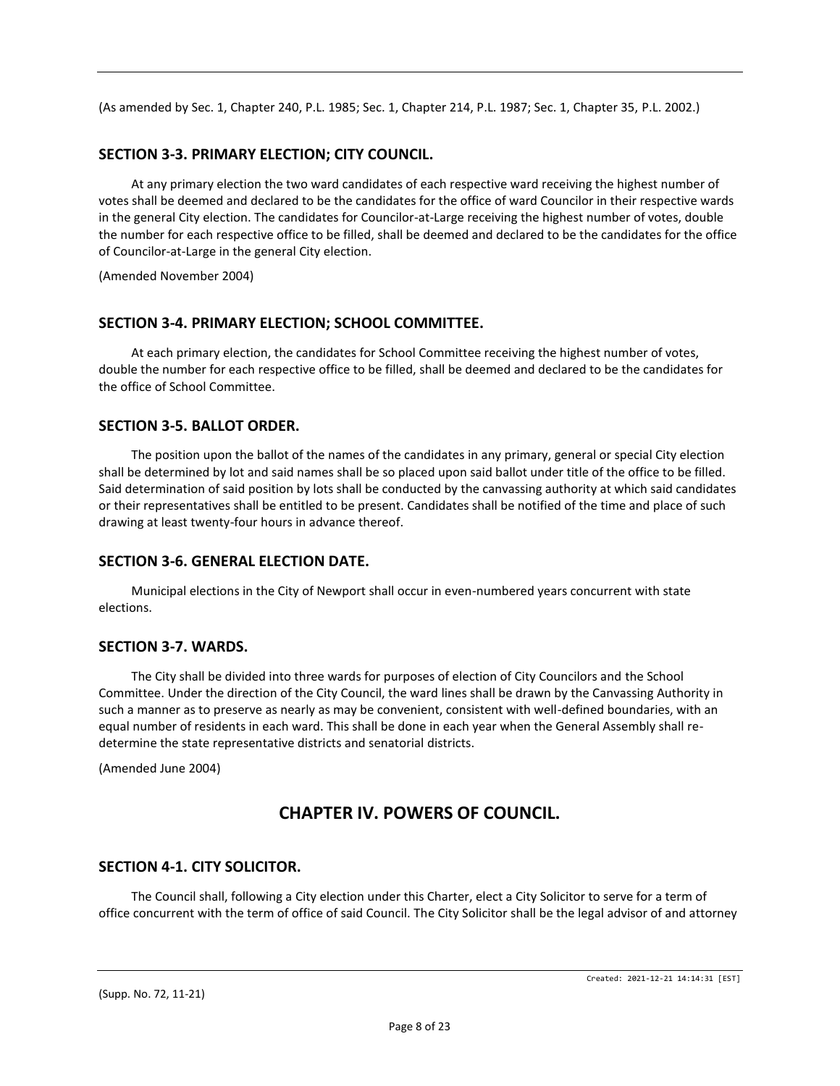(As amended by Sec. 1, Chapter 240, P.L. 1985; Sec. 1, Chapter 214, P.L. 1987; Sec. 1, Chapter 35, P.L. 2002.)

# **SECTION 3-3. PRIMARY ELECTION; CITY COUNCIL.**

At any primary election the two ward candidates of each respective ward receiving the highest number of votes shall be deemed and declared to be the candidates for the office of ward Councilor in their respective wards in the general City election. The candidates for Councilor-at-Large receiving the highest number of votes, double the number for each respective office to be filled, shall be deemed and declared to be the candidates for the office of Councilor-at-Large in the general City election.

(Amended November 2004)

### **SECTION 3-4. PRIMARY ELECTION; SCHOOL COMMITTEE.**

At each primary election, the candidates for School Committee receiving the highest number of votes, double the number for each respective office to be filled, shall be deemed and declared to be the candidates for the office of School Committee.

# **SECTION 3-5. BALLOT ORDER.**

The position upon the ballot of the names of the candidates in any primary, general or special City election shall be determined by lot and said names shall be so placed upon said ballot under title of the office to be filled. Said determination of said position by lots shall be conducted by the canvassing authority at which said candidates or their representatives shall be entitled to be present. Candidates shall be notified of the time and place of such drawing at least twenty-four hours in advance thereof.

# **SECTION 3-6. GENERAL ELECTION DATE.**

Municipal elections in the City of Newport shall occur in even-numbered years concurrent with state elections.

### **SECTION 3-7. WARDS.**

The City shall be divided into three wards for purposes of election of City Councilors and the School Committee. Under the direction of the City Council, the ward lines shall be drawn by the Canvassing Authority in such a manner as to preserve as nearly as may be convenient, consistent with well-defined boundaries, with an equal number of residents in each ward. This shall be done in each year when the General Assembly shall redetermine the state representative districts and senatorial districts.

(Amended June 2004)

# **CHAPTER IV. POWERS OF COUNCIL.**

### **SECTION 4-1. CITY SOLICITOR.**

The Council shall, following a City election under this Charter, elect a City Solicitor to serve for a term of office concurrent with the term of office of said Council. The City Solicitor shall be the legal advisor of and attorney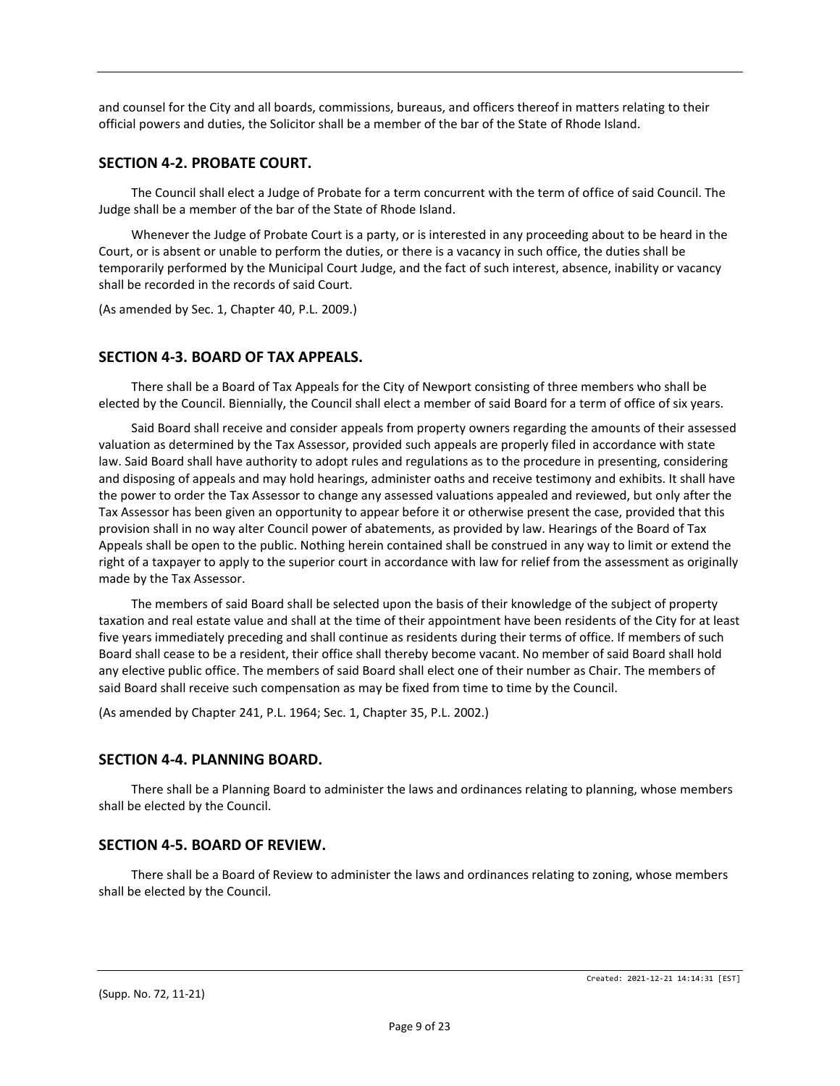and counsel for the City and all boards, commissions, bureaus, and officers thereof in matters relating to their official powers and duties, the Solicitor shall be a member of the bar of the State of Rhode Island.

### **SECTION 4-2. PROBATE COURT.**

The Council shall elect a Judge of Probate for a term concurrent with the term of office of said Council. The Judge shall be a member of the bar of the State of Rhode Island.

Whenever the Judge of Probate Court is a party, or is interested in any proceeding about to be heard in the Court, or is absent or unable to perform the duties, or there is a vacancy in such office, the duties shall be temporarily performed by the Municipal Court Judge, and the fact of such interest, absence, inability or vacancy shall be recorded in the records of said Court.

(As amended by Sec. 1, Chapter 40, P.L. 2009.)

### **SECTION 4-3. BOARD OF TAX APPEALS.**

There shall be a Board of Tax Appeals for the City of Newport consisting of three members who shall be elected by the Council. Biennially, the Council shall elect a member of said Board for a term of office of six years.

Said Board shall receive and consider appeals from property owners regarding the amounts of their assessed valuation as determined by the Tax Assessor, provided such appeals are properly filed in accordance with state law. Said Board shall have authority to adopt rules and regulations as to the procedure in presenting, considering and disposing of appeals and may hold hearings, administer oaths and receive testimony and exhibits. It shall have the power to order the Tax Assessor to change any assessed valuations appealed and reviewed, but only after the Tax Assessor has been given an opportunity to appear before it or otherwise present the case, provided that this provision shall in no way alter Council power of abatements, as provided by law. Hearings of the Board of Tax Appeals shall be open to the public. Nothing herein contained shall be construed in any way to limit or extend the right of a taxpayer to apply to the superior court in accordance with law for relief from the assessment as originally made by the Tax Assessor.

The members of said Board shall be selected upon the basis of their knowledge of the subject of property taxation and real estate value and shall at the time of their appointment have been residents of the City for at least five years immediately preceding and shall continue as residents during their terms of office. If members of such Board shall cease to be a resident, their office shall thereby become vacant. No member of said Board shall hold any elective public office. The members of said Board shall elect one of their number as Chair. The members of said Board shall receive such compensation as may be fixed from time to time by the Council.

(As amended by Chapter 241, P.L. 1964; Sec. 1, Chapter 35, P.L. 2002.)

#### **SECTION 4-4. PLANNING BOARD.**

There shall be a Planning Board to administer the laws and ordinances relating to planning, whose members shall be elected by the Council.

### **SECTION 4-5. BOARD OF REVIEW.**

There shall be a Board of Review to administer the laws and ordinances relating to zoning, whose members shall be elected by the Council.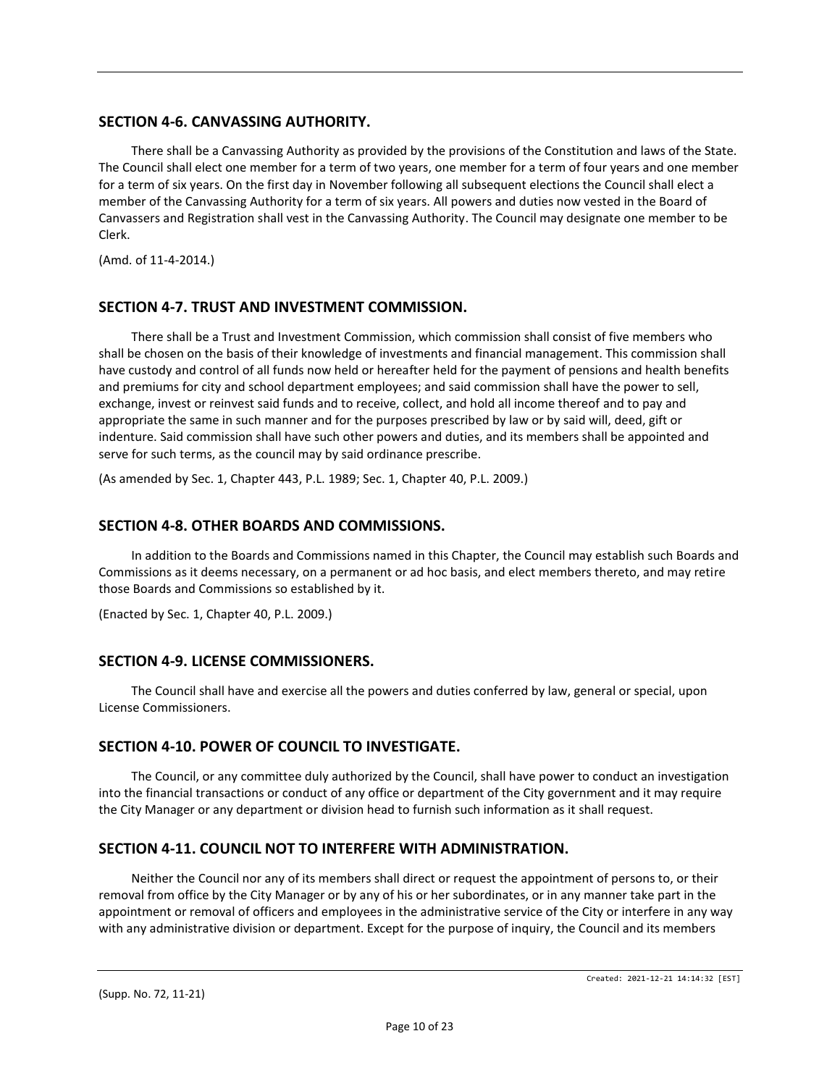# **SECTION 4-6. CANVASSING AUTHORITY.**

There shall be a Canvassing Authority as provided by the provisions of the Constitution and laws of the State. The Council shall elect one member for a term of two years, one member for a term of four years and one member for a term of six years. On the first day in November following all subsequent elections the Council shall elect a member of the Canvassing Authority for a term of six years. All powers and duties now vested in the Board of Canvassers and Registration shall vest in the Canvassing Authority. The Council may designate one member to be Clerk.

(Amd. of 11-4-2014.)

### **SECTION 4-7. TRUST AND INVESTMENT COMMISSION.**

There shall be a Trust and Investment Commission, which commission shall consist of five members who shall be chosen on the basis of their knowledge of investments and financial management. This commission shall have custody and control of all funds now held or hereafter held for the payment of pensions and health benefits and premiums for city and school department employees; and said commission shall have the power to sell, exchange, invest or reinvest said funds and to receive, collect, and hold all income thereof and to pay and appropriate the same in such manner and for the purposes prescribed by law or by said will, deed, gift or indenture. Said commission shall have such other powers and duties, and its members shall be appointed and serve for such terms, as the council may by said ordinance prescribe.

(As amended by Sec. 1, Chapter 443, P.L. 1989; Sec. 1, Chapter 40, P.L. 2009.)

### **SECTION 4-8. OTHER BOARDS AND COMMISSIONS.**

In addition to the Boards and Commissions named in this Chapter, the Council may establish such Boards and Commissions as it deems necessary, on a permanent or ad hoc basis, and elect members thereto, and may retire those Boards and Commissions so established by it.

(Enacted by Sec. 1, Chapter 40, P.L. 2009.)

### **SECTION 4-9. LICENSE COMMISSIONERS.**

The Council shall have and exercise all the powers and duties conferred by law, general or special, upon License Commissioners.

# **SECTION 4-10. POWER OF COUNCIL TO INVESTIGATE.**

The Council, or any committee duly authorized by the Council, shall have power to conduct an investigation into the financial transactions or conduct of any office or department of the City government and it may require the City Manager or any department or division head to furnish such information as it shall request.

# **SECTION 4-11. COUNCIL NOT TO INTERFERE WITH ADMINISTRATION.**

Neither the Council nor any of its members shall direct or request the appointment of persons to, or their removal from office by the City Manager or by any of his or her subordinates, or in any manner take part in the appointment or removal of officers and employees in the administrative service of the City or interfere in any way with any administrative division or department. Except for the purpose of inquiry, the Council and its members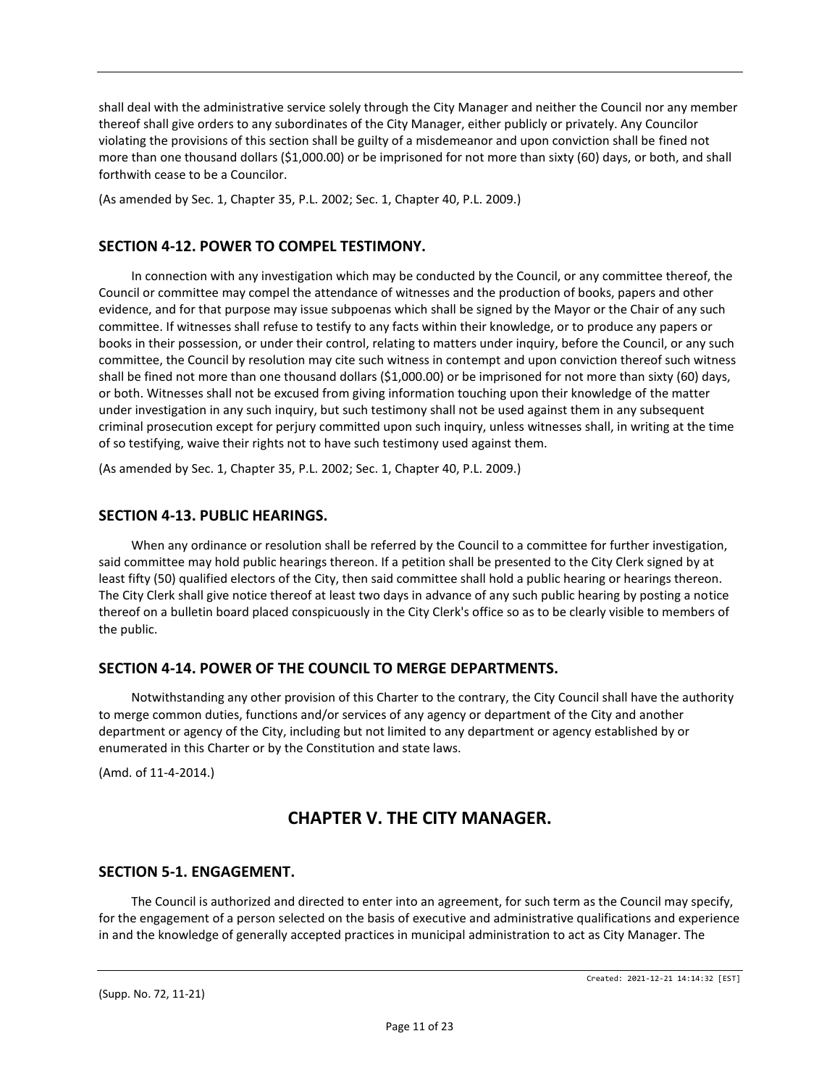shall deal with the administrative service solely through the City Manager and neither the Council nor any member thereof shall give orders to any subordinates of the City Manager, either publicly or privately. Any Councilor violating the provisions of this section shall be guilty of a misdemeanor and upon conviction shall be fined not more than one thousand dollars (\$1,000.00) or be imprisoned for not more than sixty (60) days, or both, and shall forthwith cease to be a Councilor.

(As amended by Sec. 1, Chapter 35, P.L. 2002; Sec. 1, Chapter 40, P.L. 2009.)

# **SECTION 4-12. POWER TO COMPEL TESTIMONY.**

In connection with any investigation which may be conducted by the Council, or any committee thereof, the Council or committee may compel the attendance of witnesses and the production of books, papers and other evidence, and for that purpose may issue subpoenas which shall be signed by the Mayor or the Chair of any such committee. If witnesses shall refuse to testify to any facts within their knowledge, or to produce any papers or books in their possession, or under their control, relating to matters under inquiry, before the Council, or any such committee, the Council by resolution may cite such witness in contempt and upon conviction thereof such witness shall be fined not more than one thousand dollars (\$1,000.00) or be imprisoned for not more than sixty (60) days, or both. Witnesses shall not be excused from giving information touching upon their knowledge of the matter under investigation in any such inquiry, but such testimony shall not be used against them in any subsequent criminal prosecution except for perjury committed upon such inquiry, unless witnesses shall, in writing at the time of so testifying, waive their rights not to have such testimony used against them.

(As amended by Sec. 1, Chapter 35, P.L. 2002; Sec. 1, Chapter 40, P.L. 2009.)

# **SECTION 4-13. PUBLIC HEARINGS.**

When any ordinance or resolution shall be referred by the Council to a committee for further investigation, said committee may hold public hearings thereon. If a petition shall be presented to the City Clerk signed by at least fifty (50) qualified electors of the City, then said committee shall hold a public hearing or hearings thereon. The City Clerk shall give notice thereof at least two days in advance of any such public hearing by posting a notice thereof on a bulletin board placed conspicuously in the City Clerk's office so as to be clearly visible to members of the public.

# **SECTION 4-14. POWER OF THE COUNCIL TO MERGE DEPARTMENTS.**

Notwithstanding any other provision of this Charter to the contrary, the City Council shall have the authority to merge common duties, functions and/or services of any agency or department of the City and another department or agency of the City, including but not limited to any department or agency established by or enumerated in this Charter or by the Constitution and state laws.

(Amd. of 11-4-2014.)

# **CHAPTER V. THE CITY MANAGER.**

# **SECTION 5-1. ENGAGEMENT.**

The Council is authorized and directed to enter into an agreement, for such term as the Council may specify, for the engagement of a person selected on the basis of executive and administrative qualifications and experience in and the knowledge of generally accepted practices in municipal administration to act as City Manager. The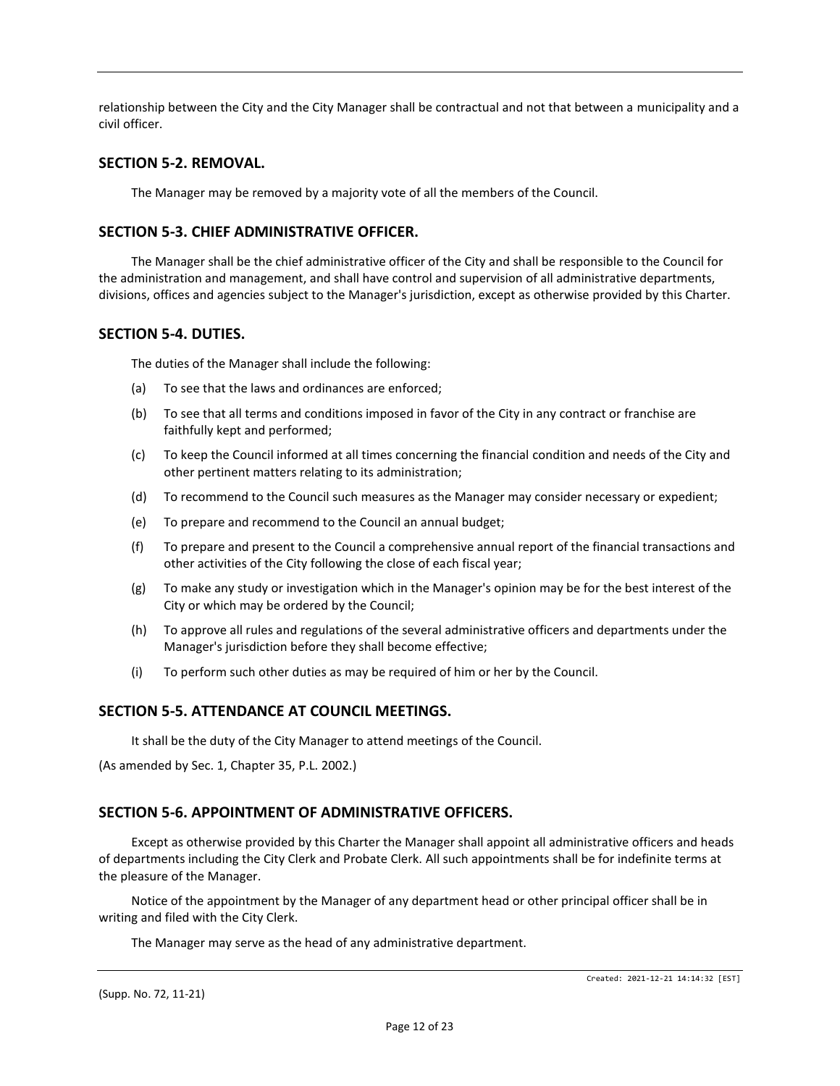relationship between the City and the City Manager shall be contractual and not that between a municipality and a civil officer.

### **SECTION 5-2. REMOVAL.**

The Manager may be removed by a majority vote of all the members of the Council.

### **SECTION 5-3. CHIEF ADMINISTRATIVE OFFICER.**

The Manager shall be the chief administrative officer of the City and shall be responsible to the Council for the administration and management, and shall have control and supervision of all administrative departments, divisions, offices and agencies subject to the Manager's jurisdiction, except as otherwise provided by this Charter.

### **SECTION 5-4. DUTIES.**

The duties of the Manager shall include the following:

- (a) To see that the laws and ordinances are enforced;
- (b) To see that all terms and conditions imposed in favor of the City in any contract or franchise are faithfully kept and performed;
- (c) To keep the Council informed at all times concerning the financial condition and needs of the City and other pertinent matters relating to its administration;
- (d) To recommend to the Council such measures as the Manager may consider necessary or expedient;
- (e) To prepare and recommend to the Council an annual budget;
- (f) To prepare and present to the Council a comprehensive annual report of the financial transactions and other activities of the City following the close of each fiscal year;
- (g) To make any study or investigation which in the Manager's opinion may be for the best interest of the City or which may be ordered by the Council;
- (h) To approve all rules and regulations of the several administrative officers and departments under the Manager's jurisdiction before they shall become effective;
- (i) To perform such other duties as may be required of him or her by the Council.

### **SECTION 5-5. ATTENDANCE AT COUNCIL MEETINGS.**

It shall be the duty of the City Manager to attend meetings of the Council.

(As amended by Sec. 1, Chapter 35, P.L. 2002.)

### **SECTION 5-6. APPOINTMENT OF ADMINISTRATIVE OFFICERS.**

Except as otherwise provided by this Charter the Manager shall appoint all administrative officers and heads of departments including the City Clerk and Probate Clerk. All such appointments shall be for indefinite terms at the pleasure of the Manager.

Notice of the appointment by the Manager of any department head or other principal officer shall be in writing and filed with the City Clerk.

The Manager may serve as the head of any administrative department.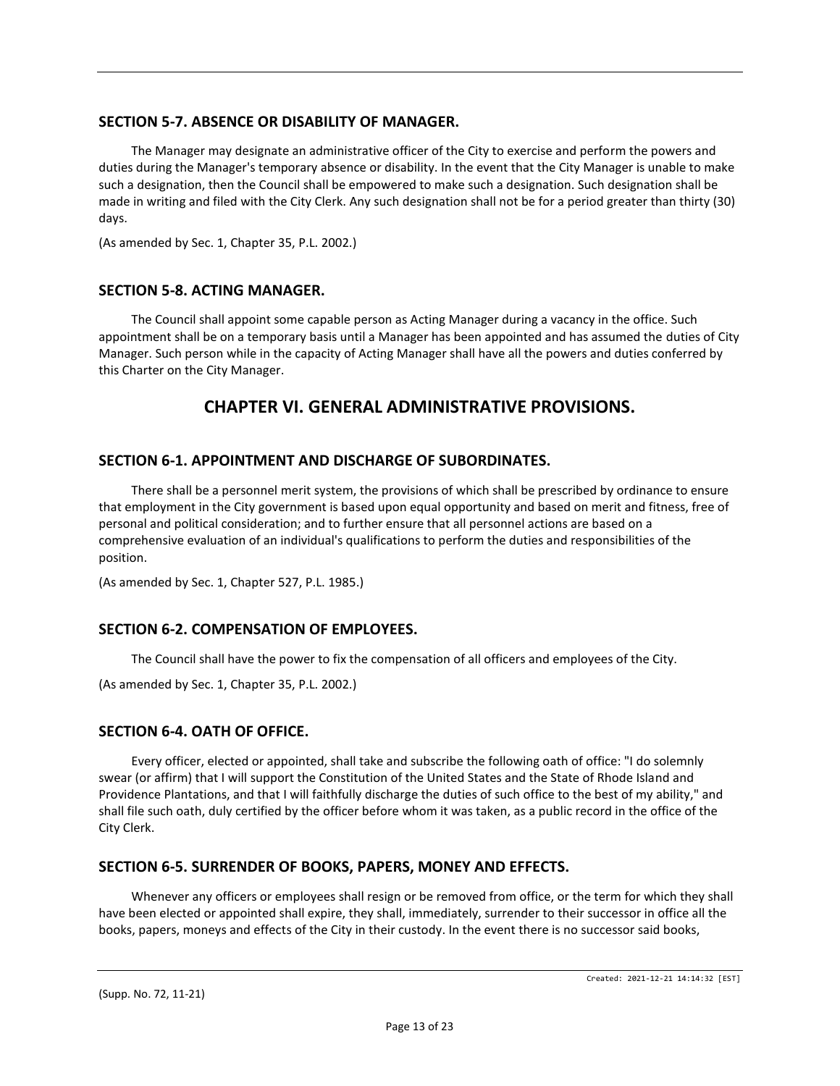# **SECTION 5-7. ABSENCE OR DISABILITY OF MANAGER.**

The Manager may designate an administrative officer of the City to exercise and perform the powers and duties during the Manager's temporary absence or disability. In the event that the City Manager is unable to make such a designation, then the Council shall be empowered to make such a designation. Such designation shall be made in writing and filed with the City Clerk. Any such designation shall not be for a period greater than thirty (30) days.

(As amended by Sec. 1, Chapter 35, P.L. 2002.)

# **SECTION 5-8. ACTING MANAGER.**

The Council shall appoint some capable person as Acting Manager during a vacancy in the office. Such appointment shall be on a temporary basis until a Manager has been appointed and has assumed the duties of City Manager. Such person while in the capacity of Acting Manager shall have all the powers and duties conferred by this Charter on the City Manager.

# **CHAPTER VI. GENERAL ADMINISTRATIVE PROVISIONS.**

# **SECTION 6-1. APPOINTMENT AND DISCHARGE OF SUBORDINATES.**

There shall be a personnel merit system, the provisions of which shall be prescribed by ordinance to ensure that employment in the City government is based upon equal opportunity and based on merit and fitness, free of personal and political consideration; and to further ensure that all personnel actions are based on a comprehensive evaluation of an individual's qualifications to perform the duties and responsibilities of the position.

(As amended by Sec. 1, Chapter 527, P.L. 1985.)

# **SECTION 6-2. COMPENSATION OF EMPLOYEES.**

The Council shall have the power to fix the compensation of all officers and employees of the City.

(As amended by Sec. 1, Chapter 35, P.L. 2002.)

# **SECTION 6-4. OATH OF OFFICE.**

Every officer, elected or appointed, shall take and subscribe the following oath of office: "I do solemnly swear (or affirm) that I will support the Constitution of the United States and the State of Rhode Island and Providence Plantations, and that I will faithfully discharge the duties of such office to the best of my ability," and shall file such oath, duly certified by the officer before whom it was taken, as a public record in the office of the City Clerk.

# **SECTION 6-5. SURRENDER OF BOOKS, PAPERS, MONEY AND EFFECTS.**

Whenever any officers or employees shall resign or be removed from office, or the term for which they shall have been elected or appointed shall expire, they shall, immediately, surrender to their successor in office all the books, papers, moneys and effects of the City in their custody. In the event there is no successor said books,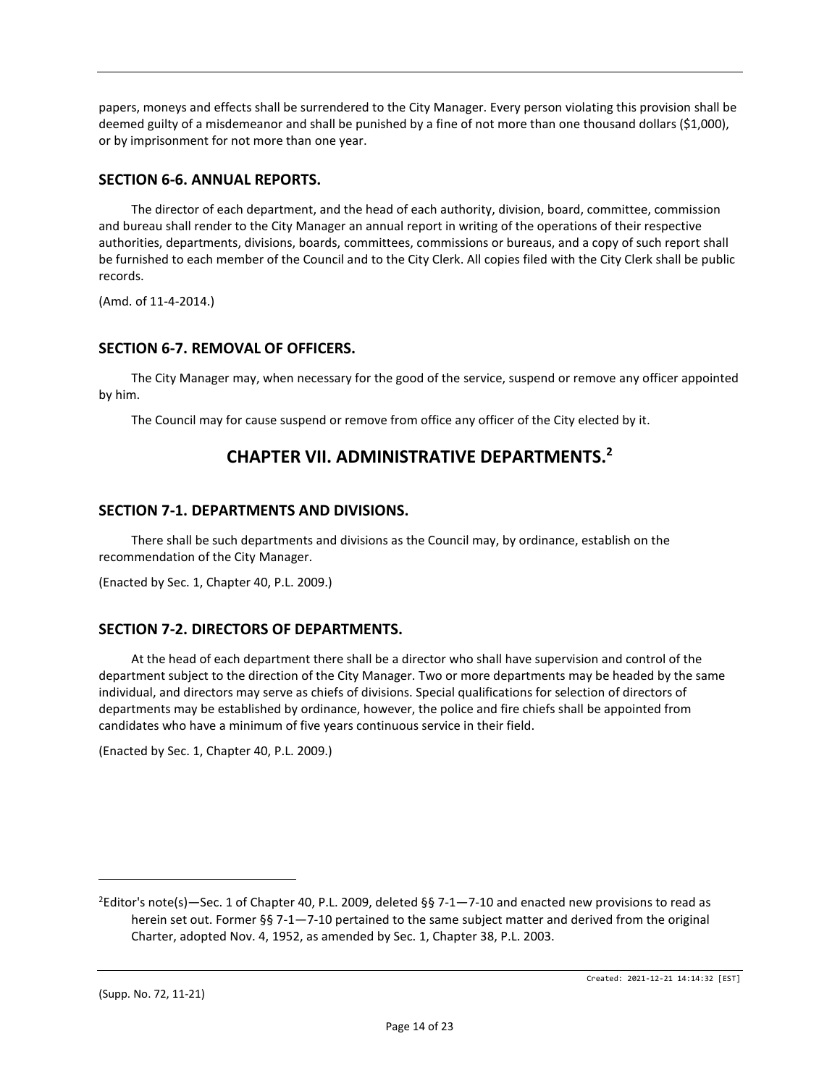papers, moneys and effects shall be surrendered to the City Manager. Every person violating this provision shall be deemed guilty of a misdemeanor and shall be punished by a fine of not more than one thousand dollars (\$1,000), or by imprisonment for not more than one year.

# **SECTION 6-6. ANNUAL REPORTS.**

The director of each department, and the head of each authority, division, board, committee, commission and bureau shall render to the City Manager an annual report in writing of the operations of their respective authorities, departments, divisions, boards, committees, commissions or bureaus, and a copy of such report shall be furnished to each member of the Council and to the City Clerk. All copies filed with the City Clerk shall be public records.

(Amd. of 11-4-2014.)

### **SECTION 6-7. REMOVAL OF OFFICERS.**

The City Manager may, when necessary for the good of the service, suspend or remove any officer appointed by him.

The Council may for cause suspend or remove from office any officer of the City elected by it.

# **CHAPTER VII. ADMINISTRATIVE DEPARTMENTS.<sup>2</sup>**

### **SECTION 7-1. DEPARTMENTS AND DIVISIONS.**

There shall be such departments and divisions as the Council may, by ordinance, establish on the recommendation of the City Manager.

(Enacted by Sec. 1, Chapter 40, P.L. 2009.)

# **SECTION 7-2. DIRECTORS OF DEPARTMENTS.**

At the head of each department there shall be a director who shall have supervision and control of the department subject to the direction of the City Manager. Two or more departments may be headed by the same individual, and directors may serve as chiefs of divisions. Special qualifications for selection of directors of departments may be established by ordinance, however, the police and fire chiefs shall be appointed from candidates who have a minimum of five years continuous service in their field.

(Enacted by Sec. 1, Chapter 40, P.L. 2009.)

 $\overline{a}$ 

Created: 2021-12-21 14:14:32 [EST]

<sup>&</sup>lt;sup>2</sup>Editor's note(s)—Sec. 1 of Chapter 40, P.L. 2009, deleted §§ 7-1—7-10 and enacted new provisions to read as herein set out. Former §§ 7-1—7-10 pertained to the same subject matter and derived from the original Charter, adopted Nov. 4, 1952, as amended by Sec. 1, Chapter 38, P.L. 2003.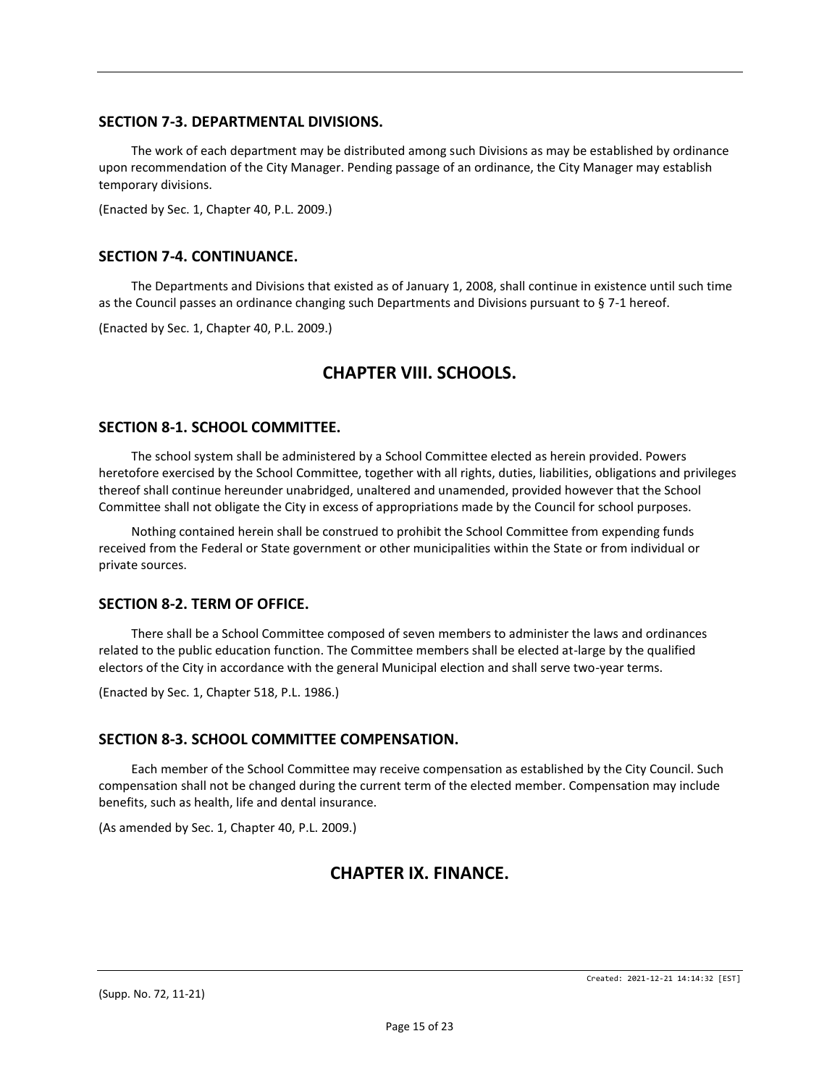### **SECTION 7-3. DEPARTMENTAL DIVISIONS.**

The work of each department may be distributed among such Divisions as may be established by ordinance upon recommendation of the City Manager. Pending passage of an ordinance, the City Manager may establish temporary divisions.

(Enacted by Sec. 1, Chapter 40, P.L. 2009.)

### **SECTION 7-4. CONTINUANCE.**

The Departments and Divisions that existed as of January 1, 2008, shall continue in existence until such time as the Council passes an ordinance changing such Departments and Divisions pursuant to § 7-1 hereof.

(Enacted by Sec. 1, Chapter 40, P.L. 2009.)

# **CHAPTER VIII. SCHOOLS.**

### **SECTION 8-1. SCHOOL COMMITTEE.**

The school system shall be administered by a School Committee elected as herein provided. Powers heretofore exercised by the School Committee, together with all rights, duties, liabilities, obligations and privileges thereof shall continue hereunder unabridged, unaltered and unamended, provided however that the School Committee shall not obligate the City in excess of appropriations made by the Council for school purposes.

Nothing contained herein shall be construed to prohibit the School Committee from expending funds received from the Federal or State government or other municipalities within the State or from individual or private sources.

### **SECTION 8-2. TERM OF OFFICE.**

There shall be a School Committee composed of seven members to administer the laws and ordinances related to the public education function. The Committee members shall be elected at-large by the qualified electors of the City in accordance with the general Municipal election and shall serve two-year terms.

(Enacted by Sec. 1, Chapter 518, P.L. 1986.)

# **SECTION 8-3. SCHOOL COMMITTEE COMPENSATION.**

Each member of the School Committee may receive compensation as established by the City Council. Such compensation shall not be changed during the current term of the elected member. Compensation may include benefits, such as health, life and dental insurance.

(As amended by Sec. 1, Chapter 40, P.L. 2009.)

# **CHAPTER IX. FINANCE.**

(Supp. No. 72, 11-21)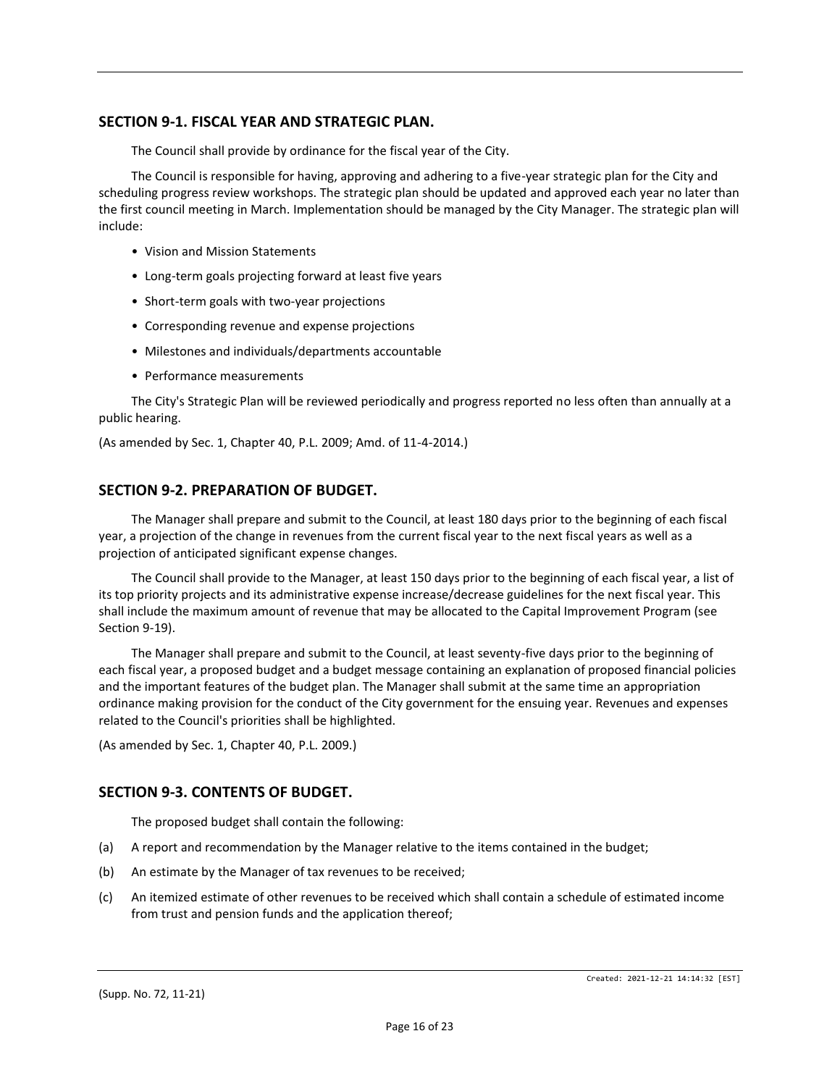### **SECTION 9-1. FISCAL YEAR AND STRATEGIC PLAN.**

The Council shall provide by ordinance for the fiscal year of the City.

The Council is responsible for having, approving and adhering to a five-year strategic plan for the City and scheduling progress review workshops. The strategic plan should be updated and approved each year no later than the first council meeting in March. Implementation should be managed by the City Manager. The strategic plan will include:

- Vision and Mission Statements
- Long-term goals projecting forward at least five years
- Short-term goals with two-year projections
- Corresponding revenue and expense projections
- Milestones and individuals/departments accountable
- Performance measurements

The City's Strategic Plan will be reviewed periodically and progress reported no less often than annually at a public hearing.

(As amended by Sec. 1, Chapter 40, P.L. 2009; Amd. of 11-4-2014.)

# **SECTION 9-2. PREPARATION OF BUDGET.**

The Manager shall prepare and submit to the Council, at least 180 days prior to the beginning of each fiscal year, a projection of the change in revenues from the current fiscal year to the next fiscal years as well as a projection of anticipated significant expense changes.

The Council shall provide to the Manager, at least 150 days prior to the beginning of each fiscal year, a list of its top priority projects and its administrative expense increase/decrease guidelines for the next fiscal year. This shall include the maximum amount of revenue that may be allocated to the Capital Improvement Program (see Section 9-19).

The Manager shall prepare and submit to the Council, at least seventy-five days prior to the beginning of each fiscal year, a proposed budget and a budget message containing an explanation of proposed financial policies and the important features of the budget plan. The Manager shall submit at the same time an appropriation ordinance making provision for the conduct of the City government for the ensuing year. Revenues and expenses related to the Council's priorities shall be highlighted.

(As amended by Sec. 1, Chapter 40, P.L. 2009.)

# **SECTION 9-3. CONTENTS OF BUDGET.**

The proposed budget shall contain the following:

- (a) A report and recommendation by the Manager relative to the items contained in the budget;
- (b) An estimate by the Manager of tax revenues to be received;
- (c) An itemized estimate of other revenues to be received which shall contain a schedule of estimated income from trust and pension funds and the application thereof;

(Supp. No. 72, 11-21)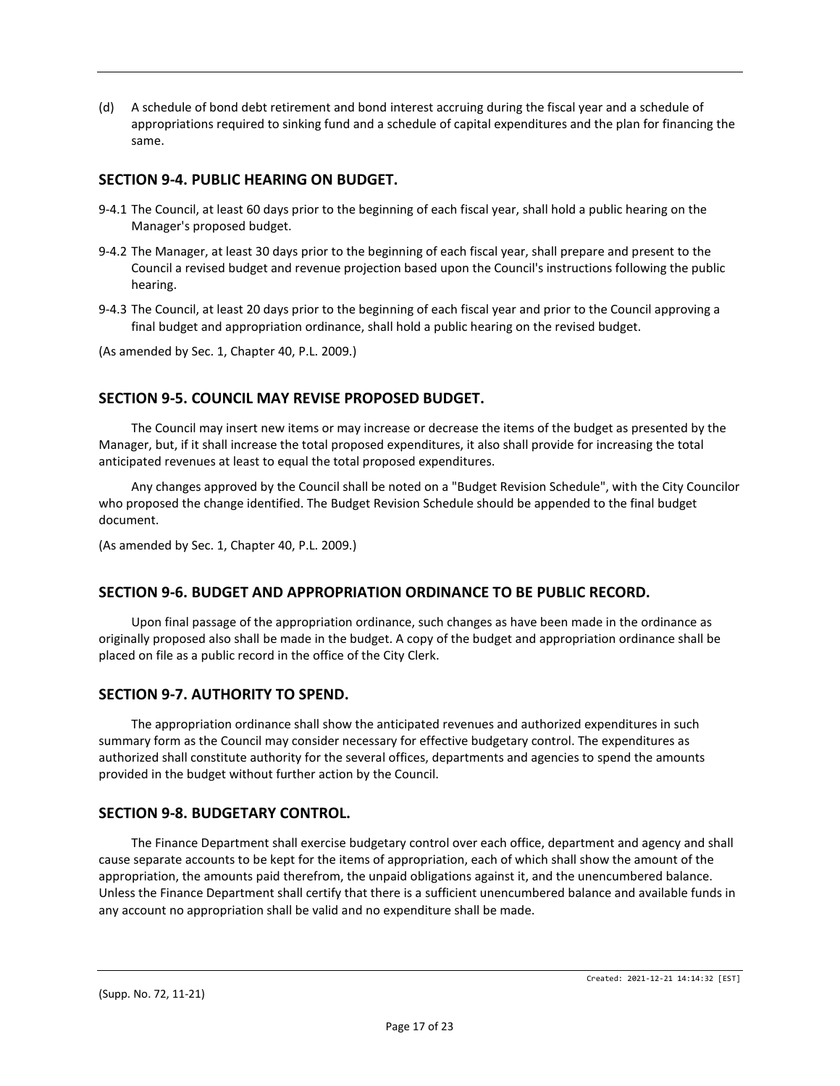(d) A schedule of bond debt retirement and bond interest accruing during the fiscal year and a schedule of appropriations required to sinking fund and a schedule of capital expenditures and the plan for financing the same.

# **SECTION 9-4. PUBLIC HEARING ON BUDGET.**

- 9-4.1 The Council, at least 60 days prior to the beginning of each fiscal year, shall hold a public hearing on the Manager's proposed budget.
- 9-4.2 The Manager, at least 30 days prior to the beginning of each fiscal year, shall prepare and present to the Council a revised budget and revenue projection based upon the Council's instructions following the public hearing.
- 9-4.3 The Council, at least 20 days prior to the beginning of each fiscal year and prior to the Council approving a final budget and appropriation ordinance, shall hold a public hearing on the revised budget.

(As amended by Sec. 1, Chapter 40, P.L. 2009.)

# **SECTION 9-5. COUNCIL MAY REVISE PROPOSED BUDGET.**

The Council may insert new items or may increase or decrease the items of the budget as presented by the Manager, but, if it shall increase the total proposed expenditures, it also shall provide for increasing the total anticipated revenues at least to equal the total proposed expenditures.

Any changes approved by the Council shall be noted on a "Budget Revision Schedule", with the City Councilor who proposed the change identified. The Budget Revision Schedule should be appended to the final budget document.

(As amended by Sec. 1, Chapter 40, P.L. 2009.)

# **SECTION 9-6. BUDGET AND APPROPRIATION ORDINANCE TO BE PUBLIC RECORD.**

Upon final passage of the appropriation ordinance, such changes as have been made in the ordinance as originally proposed also shall be made in the budget. A copy of the budget and appropriation ordinance shall be placed on file as a public record in the office of the City Clerk.

# **SECTION 9-7. AUTHORITY TO SPEND.**

The appropriation ordinance shall show the anticipated revenues and authorized expenditures in such summary form as the Council may consider necessary for effective budgetary control. The expenditures as authorized shall constitute authority for the several offices, departments and agencies to spend the amounts provided in the budget without further action by the Council.

# **SECTION 9-8. BUDGETARY CONTROL.**

The Finance Department shall exercise budgetary control over each office, department and agency and shall cause separate accounts to be kept for the items of appropriation, each of which shall show the amount of the appropriation, the amounts paid therefrom, the unpaid obligations against it, and the unencumbered balance. Unless the Finance Department shall certify that there is a sufficient unencumbered balance and available funds in any account no appropriation shall be valid and no expenditure shall be made.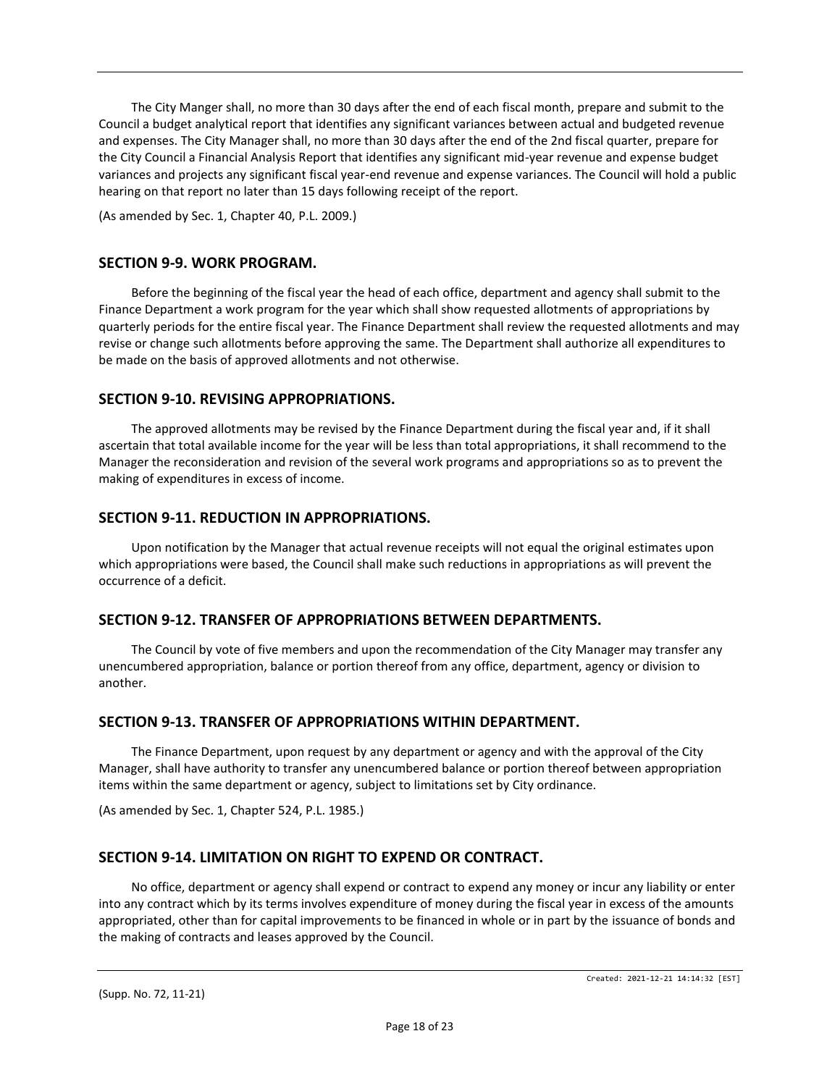The City Manger shall, no more than 30 days after the end of each fiscal month, prepare and submit to the Council a budget analytical report that identifies any significant variances between actual and budgeted revenue and expenses. The City Manager shall, no more than 30 days after the end of the 2nd fiscal quarter, prepare for the City Council a Financial Analysis Report that identifies any significant mid-year revenue and expense budget variances and projects any significant fiscal year-end revenue and expense variances. The Council will hold a public hearing on that report no later than 15 days following receipt of the report.

(As amended by Sec. 1, Chapter 40, P.L. 2009.)

### **SECTION 9-9. WORK PROGRAM.**

Before the beginning of the fiscal year the head of each office, department and agency shall submit to the Finance Department a work program for the year which shall show requested allotments of appropriations by quarterly periods for the entire fiscal year. The Finance Department shall review the requested allotments and may revise or change such allotments before approving the same. The Department shall authorize all expenditures to be made on the basis of approved allotments and not otherwise.

### **SECTION 9-10. REVISING APPROPRIATIONS.**

The approved allotments may be revised by the Finance Department during the fiscal year and, if it shall ascertain that total available income for the year will be less than total appropriations, it shall recommend to the Manager the reconsideration and revision of the several work programs and appropriations so as to prevent the making of expenditures in excess of income.

### **SECTION 9-11. REDUCTION IN APPROPRIATIONS.**

Upon notification by the Manager that actual revenue receipts will not equal the original estimates upon which appropriations were based, the Council shall make such reductions in appropriations as will prevent the occurrence of a deficit.

### **SECTION 9-12. TRANSFER OF APPROPRIATIONS BETWEEN DEPARTMENTS.**

The Council by vote of five members and upon the recommendation of the City Manager may transfer any unencumbered appropriation, balance or portion thereof from any office, department, agency or division to another.

### **SECTION 9-13. TRANSFER OF APPROPRIATIONS WITHIN DEPARTMENT.**

The Finance Department, upon request by any department or agency and with the approval of the City Manager, shall have authority to transfer any unencumbered balance or portion thereof between appropriation items within the same department or agency, subject to limitations set by City ordinance.

(As amended by Sec. 1, Chapter 524, P.L. 1985.)

# **SECTION 9-14. LIMITATION ON RIGHT TO EXPEND OR CONTRACT.**

No office, department or agency shall expend or contract to expend any money or incur any liability or enter into any contract which by its terms involves expenditure of money during the fiscal year in excess of the amounts appropriated, other than for capital improvements to be financed in whole or in part by the issuance of bonds and the making of contracts and leases approved by the Council.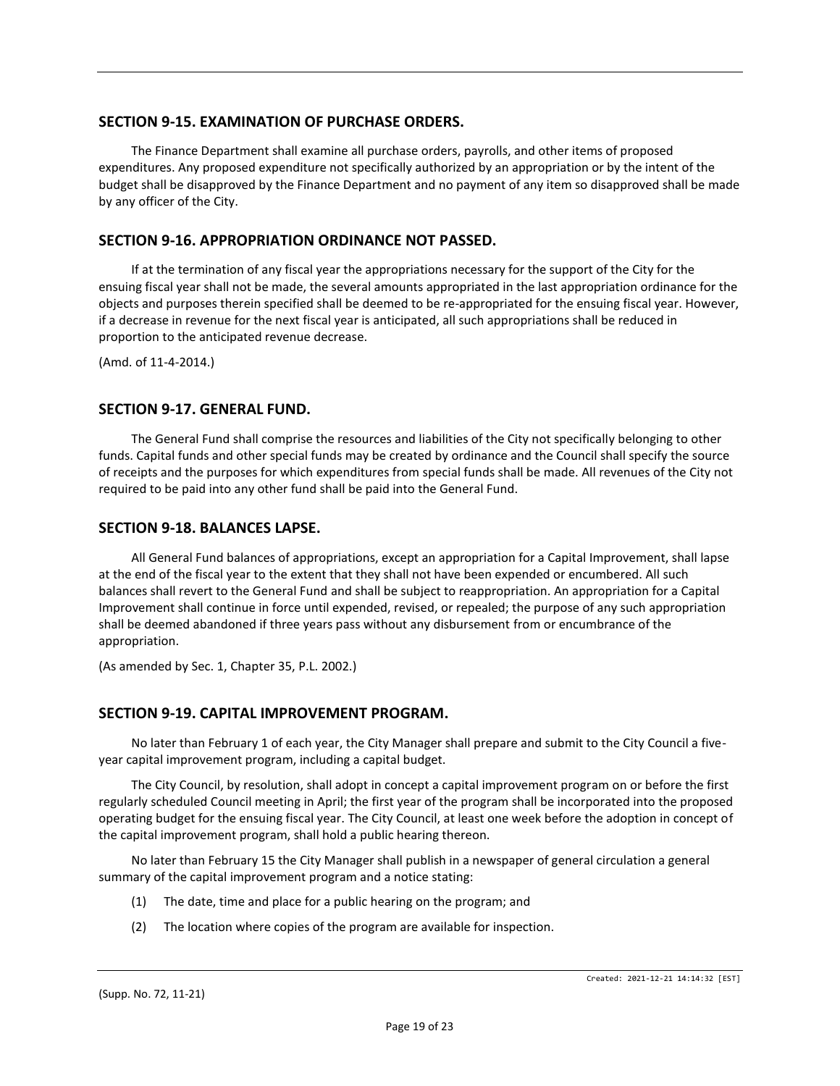# **SECTION 9-15. EXAMINATION OF PURCHASE ORDERS.**

The Finance Department shall examine all purchase orders, payrolls, and other items of proposed expenditures. Any proposed expenditure not specifically authorized by an appropriation or by the intent of the budget shall be disapproved by the Finance Department and no payment of any item so disapproved shall be made by any officer of the City.

### **SECTION 9-16. APPROPRIATION ORDINANCE NOT PASSED.**

If at the termination of any fiscal year the appropriations necessary for the support of the City for the ensuing fiscal year shall not be made, the several amounts appropriated in the last appropriation ordinance for the objects and purposes therein specified shall be deemed to be re-appropriated for the ensuing fiscal year. However, if a decrease in revenue for the next fiscal year is anticipated, all such appropriations shall be reduced in proportion to the anticipated revenue decrease.

(Amd. of 11-4-2014.)

### **SECTION 9-17. GENERAL FUND.**

The General Fund shall comprise the resources and liabilities of the City not specifically belonging to other funds. Capital funds and other special funds may be created by ordinance and the Council shall specify the source of receipts and the purposes for which expenditures from special funds shall be made. All revenues of the City not required to be paid into any other fund shall be paid into the General Fund.

### **SECTION 9-18. BALANCES LAPSE.**

All General Fund balances of appropriations, except an appropriation for a Capital Improvement, shall lapse at the end of the fiscal year to the extent that they shall not have been expended or encumbered. All such balances shall revert to the General Fund and shall be subject to reappropriation. An appropriation for a Capital Improvement shall continue in force until expended, revised, or repealed; the purpose of any such appropriation shall be deemed abandoned if three years pass without any disbursement from or encumbrance of the appropriation.

(As amended by Sec. 1, Chapter 35, P.L. 2002.)

# **SECTION 9-19. CAPITAL IMPROVEMENT PROGRAM.**

No later than February 1 of each year, the City Manager shall prepare and submit to the City Council a fiveyear capital improvement program, including a capital budget.

The City Council, by resolution, shall adopt in concept a capital improvement program on or before the first regularly scheduled Council meeting in April; the first year of the program shall be incorporated into the proposed operating budget for the ensuing fiscal year. The City Council, at least one week before the adoption in concept of the capital improvement program, shall hold a public hearing thereon.

No later than February 15 the City Manager shall publish in a newspaper of general circulation a general summary of the capital improvement program and a notice stating:

- (1) The date, time and place for a public hearing on the program; and
- (2) The location where copies of the program are available for inspection.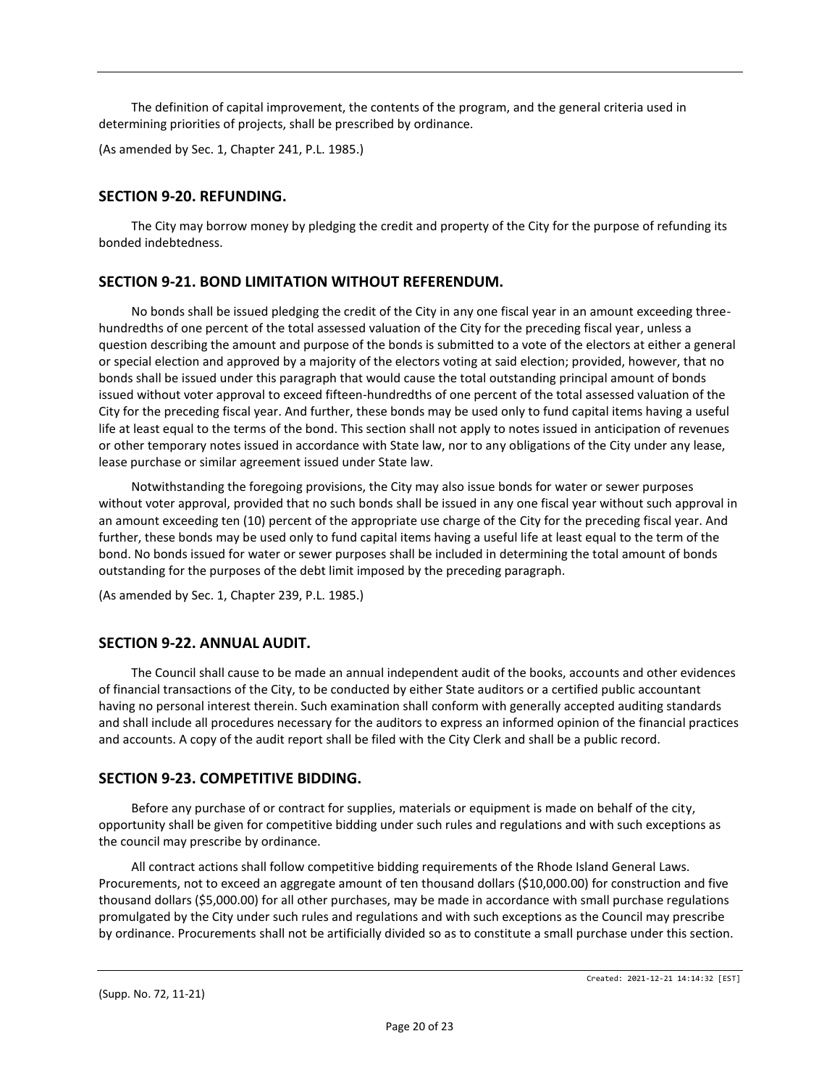The definition of capital improvement, the contents of the program, and the general criteria used in determining priorities of projects, shall be prescribed by ordinance.

(As amended by Sec. 1, Chapter 241, P.L. 1985.)

### **SECTION 9-20. REFUNDING.**

The City may borrow money by pledging the credit and property of the City for the purpose of refunding its bonded indebtedness.

### **SECTION 9-21. BOND LIMITATION WITHOUT REFERENDUM.**

No bonds shall be issued pledging the credit of the City in any one fiscal year in an amount exceeding threehundredths of one percent of the total assessed valuation of the City for the preceding fiscal year, unless a question describing the amount and purpose of the bonds is submitted to a vote of the electors at either a general or special election and approved by a majority of the electors voting at said election; provided, however, that no bonds shall be issued under this paragraph that would cause the total outstanding principal amount of bonds issued without voter approval to exceed fifteen-hundredths of one percent of the total assessed valuation of the City for the preceding fiscal year. And further, these bonds may be used only to fund capital items having a useful life at least equal to the terms of the bond. This section shall not apply to notes issued in anticipation of revenues or other temporary notes issued in accordance with State law, nor to any obligations of the City under any lease, lease purchase or similar agreement issued under State law.

Notwithstanding the foregoing provisions, the City may also issue bonds for water or sewer purposes without voter approval, provided that no such bonds shall be issued in any one fiscal year without such approval in an amount exceeding ten (10) percent of the appropriate use charge of the City for the preceding fiscal year. And further, these bonds may be used only to fund capital items having a useful life at least equal to the term of the bond. No bonds issued for water or sewer purposes shall be included in determining the total amount of bonds outstanding for the purposes of the debt limit imposed by the preceding paragraph.

(As amended by Sec. 1, Chapter 239, P.L. 1985.)

### **SECTION 9-22. ANNUAL AUDIT.**

The Council shall cause to be made an annual independent audit of the books, accounts and other evidences of financial transactions of the City, to be conducted by either State auditors or a certified public accountant having no personal interest therein. Such examination shall conform with generally accepted auditing standards and shall include all procedures necessary for the auditors to express an informed opinion of the financial practices and accounts. A copy of the audit report shall be filed with the City Clerk and shall be a public record.

### **SECTION 9-23. COMPETITIVE BIDDING.**

Before any purchase of or contract for supplies, materials or equipment is made on behalf of the city, opportunity shall be given for competitive bidding under such rules and regulations and with such exceptions as the council may prescribe by ordinance.

All contract actions shall follow competitive bidding requirements of the Rhode Island General Laws. Procurements, not to exceed an aggregate amount of ten thousand dollars (\$10,000.00) for construction and five thousand dollars (\$5,000.00) for all other purchases, may be made in accordance with small purchase regulations promulgated by the City under such rules and regulations and with such exceptions as the Council may prescribe by ordinance. Procurements shall not be artificially divided so as to constitute a small purchase under this section.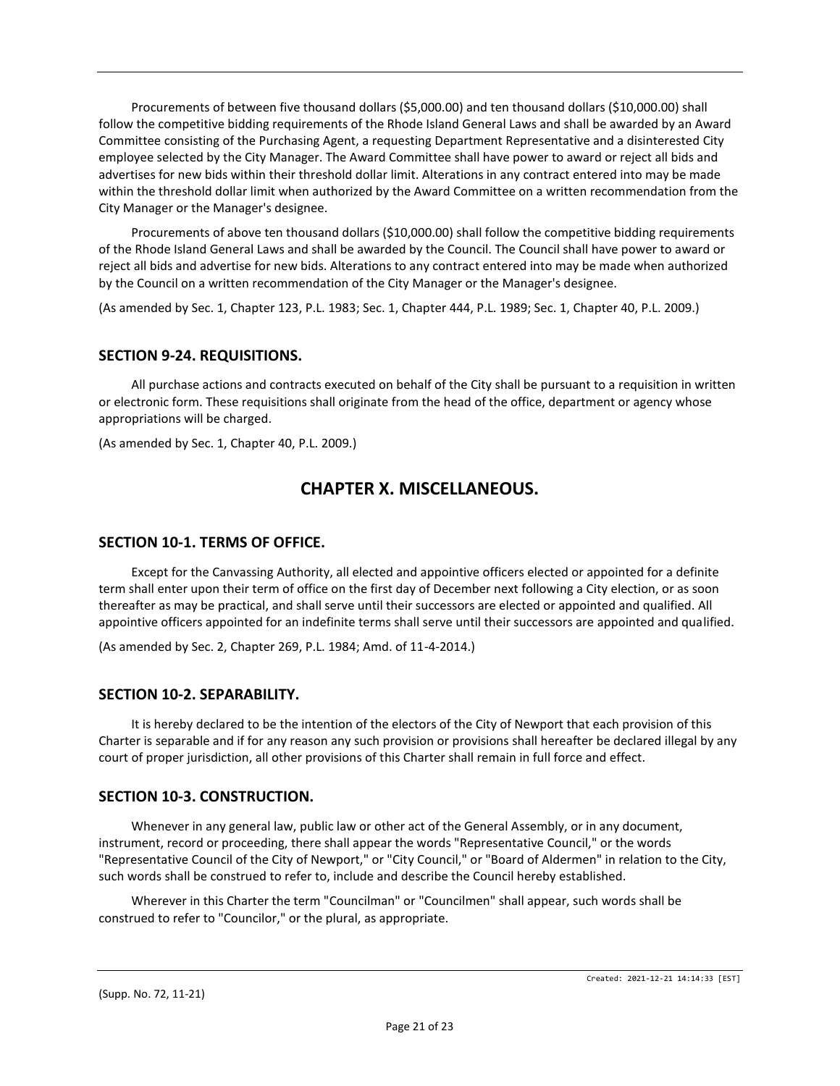Procurements of between five thousand dollars (\$5,000.00) and ten thousand dollars (\$10,000.00) shall follow the competitive bidding requirements of the Rhode Island General Laws and shall be awarded by an Award Committee consisting of the Purchasing Agent, a requesting Department Representative and a disinterested City employee selected by the City Manager. The Award Committee shall have power to award or reject all bids and advertises for new bids within their threshold dollar limit. Alterations in any contract entered into may be made within the threshold dollar limit when authorized by the Award Committee on a written recommendation from the City Manager or the Manager's designee.

Procurements of above ten thousand dollars (\$10,000.00) shall follow the competitive bidding requirements of the Rhode Island General Laws and shall be awarded by the Council. The Council shall have power to award or reject all bids and advertise for new bids. Alterations to any contract entered into may be made when authorized by the Council on a written recommendation of the City Manager or the Manager's designee.

(As amended by Sec. 1, Chapter 123, P.L. 1983; Sec. 1, Chapter 444, P.L. 1989; Sec. 1, Chapter 40, P.L. 2009.)

# **SECTION 9-24. REQUISITIONS.**

All purchase actions and contracts executed on behalf of the City shall be pursuant to a requisition in written or electronic form. These requisitions shall originate from the head of the office, department or agency whose appropriations will be charged.

(As amended by Sec. 1, Chapter 40, P.L. 2009.)

# **CHAPTER X. MISCELLANEOUS.**

### **SECTION 10-1. TERMS OF OFFICE.**

Except for the Canvassing Authority, all elected and appointive officers elected or appointed for a definite term shall enter upon their term of office on the first day of December next following a City election, or as soon thereafter as may be practical, and shall serve until their successors are elected or appointed and qualified. All appointive officers appointed for an indefinite terms shall serve until their successors are appointed and qualified.

(As amended by Sec. 2, Chapter 269, P.L. 1984; Amd. of 11-4-2014.)

### **SECTION 10-2. SEPARABILITY.**

It is hereby declared to be the intention of the electors of the City of Newport that each provision of this Charter is separable and if for any reason any such provision or provisions shall hereafter be declared illegal by any court of proper jurisdiction, all other provisions of this Charter shall remain in full force and effect.

### **SECTION 10-3. CONSTRUCTION.**

Whenever in any general law, public law or other act of the General Assembly, or in any document, instrument, record or proceeding, there shall appear the words "Representative Council," or the words "Representative Council of the City of Newport," or "City Council," or "Board of Aldermen" in relation to the City, such words shall be construed to refer to, include and describe the Council hereby established.

Wherever in this Charter the term "Councilman" or "Councilmen" shall appear, such words shall be construed to refer to "Councilor," or the plural, as appropriate.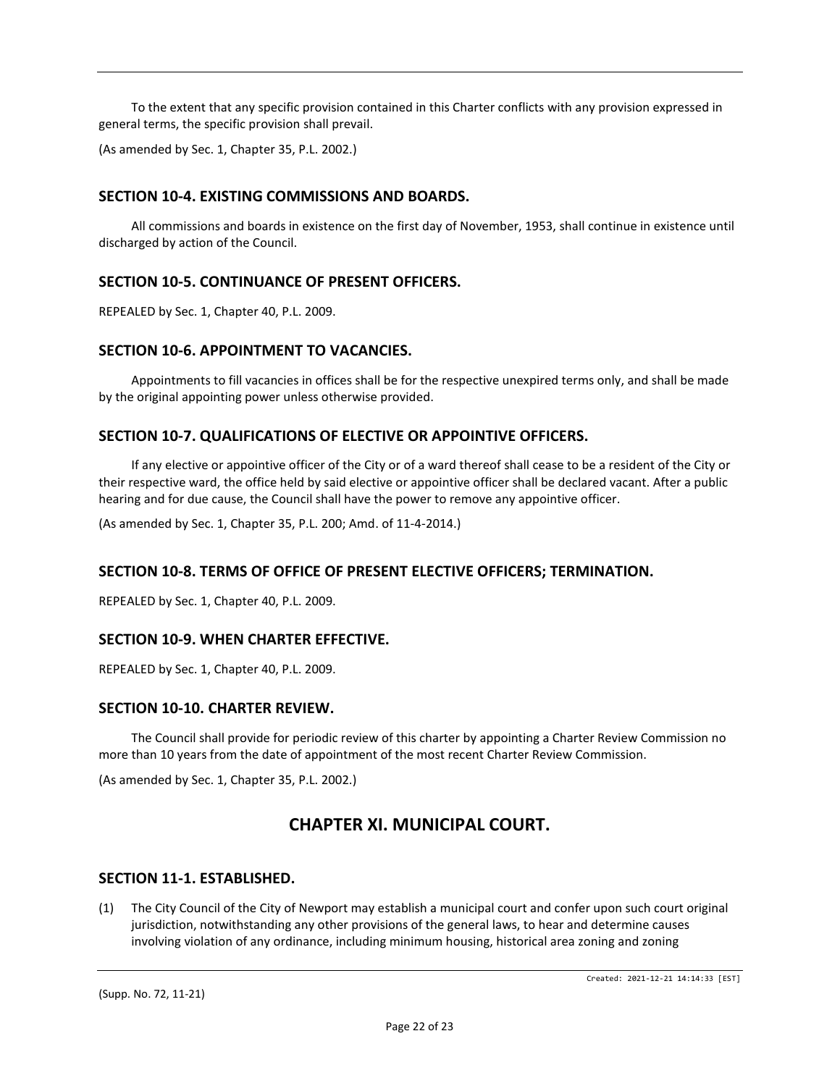To the extent that any specific provision contained in this Charter conflicts with any provision expressed in general terms, the specific provision shall prevail.

(As amended by Sec. 1, Chapter 35, P.L. 2002.)

### **SECTION 10-4. EXISTING COMMISSIONS AND BOARDS.**

All commissions and boards in existence on the first day of November, 1953, shall continue in existence until discharged by action of the Council.

### **SECTION 10-5. CONTINUANCE OF PRESENT OFFICERS.**

REPEALED by Sec. 1, Chapter 40, P.L. 2009.

### **SECTION 10-6. APPOINTMENT TO VACANCIES.**

Appointments to fill vacancies in offices shall be for the respective unexpired terms only, and shall be made by the original appointing power unless otherwise provided.

### **SECTION 10-7. QUALIFICATIONS OF ELECTIVE OR APPOINTIVE OFFICERS.**

If any elective or appointive officer of the City or of a ward thereof shall cease to be a resident of the City or their respective ward, the office held by said elective or appointive officer shall be declared vacant. After a public hearing and for due cause, the Council shall have the power to remove any appointive officer.

(As amended by Sec. 1, Chapter 35, P.L. 200; Amd. of 11-4-2014.)

### **SECTION 10-8. TERMS OF OFFICE OF PRESENT ELECTIVE OFFICERS; TERMINATION.**

REPEALED by Sec. 1, Chapter 40, P.L. 2009.

### **SECTION 10-9. WHEN CHARTER EFFECTIVE.**

REPEALED by Sec. 1, Chapter 40, P.L. 2009.

### **SECTION 10-10. CHARTER REVIEW.**

The Council shall provide for periodic review of this charter by appointing a Charter Review Commission no more than 10 years from the date of appointment of the most recent Charter Review Commission.

(As amended by Sec. 1, Chapter 35, P.L. 2002.)

# **CHAPTER XI. MUNICIPAL COURT.**

### **SECTION 11-1. ESTABLISHED.**

(1) The City Council of the City of Newport may establish a municipal court and confer upon such court original jurisdiction, notwithstanding any other provisions of the general laws, to hear and determine causes involving violation of any ordinance, including minimum housing, historical area zoning and zoning